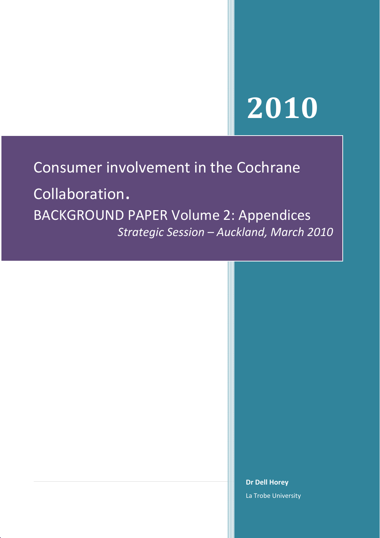# **2010**

# Consumer involvement in the Cochrane

Collaboration. BACKGROUND PAPER Volume 2: Appendices *Strategic Session – Auckland, March 2010*

> **Dr Dell Horey** La Trobe University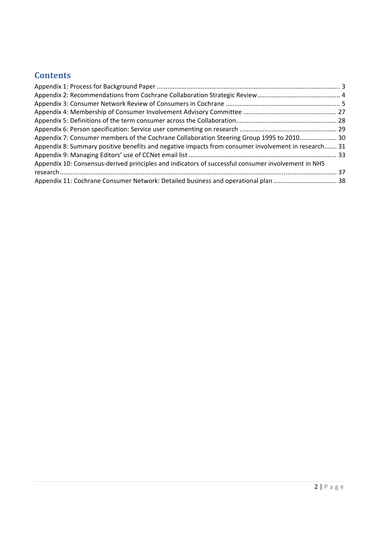# **Contents**

| Appendix 7: Consumer members of the Cochrane Collaboration Steering Group 1995 to 2010 30           |  |
|-----------------------------------------------------------------------------------------------------|--|
| Appendix 8: Summary positive benefits and negative impacts from consumer involvement in research 31 |  |
|                                                                                                     |  |
| Appendix 10: Consensus-derived principles and indicators of successful consumer involvement in NHS  |  |
|                                                                                                     |  |
| Appendix 11: Cochrane Consumer Network: Detailed business and operational plan  38                  |  |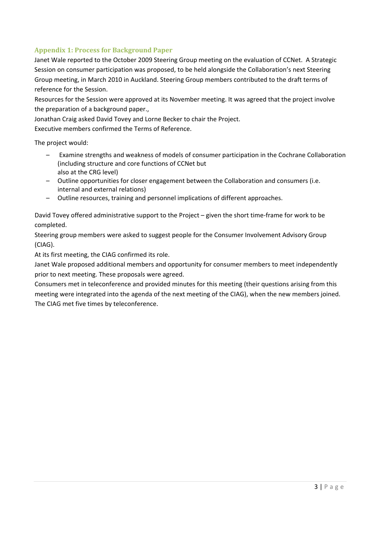# <span id="page-2-0"></span>**Appendix 1: Process for Background Paper**

Janet Wale reported to the October 2009 Steering Group meeting on the evaluation of CCNet. A Strategic Session on consumer participation was proposed, to be held alongside the Collaboration's next Steering Group meeting, in March 2010 in Auckland. Steering Group members contributed to the draft terms of reference for the Session.

Resources for the Session were approved at its November meeting. It was agreed that the project involve the preparation of a background paper.,

Jonathan Craig asked David Tovey and Lorne Becker to chair the Project.

Executive members confirmed the Terms of Reference.

The project would:

- Examine strengths and weakness of models of consumer participation in the Cochrane Collaboration (including structure and core functions of CCNet but also at the CRG level)
- Outline opportunities for closer engagement between the Collaboration and consumers (i.e. internal and external relations)
- Outline resources, training and personnel implications of different approaches.

David Tovey offered administrative support to the Project – given the short time‐frame for work to be completed.

Steering group members were asked to suggest people for the Consumer Involvement Advisory Group (CIAG).

At its first meeting, the CIAG confirmed its role.

Janet Wale proposed additional members and opportunity for consumer members to meet independently prior to next meeting. These proposals were agreed.

Consumers met in teleconference and provided minutes for this meeting (their questions arising from this meeting were integrated into the agenda of the next meeting of the CIAG), when the new members joined. The CIAG met five times by teleconference.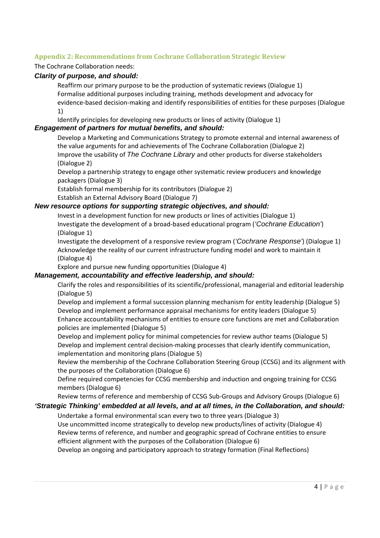# <span id="page-3-0"></span>**Appendix 2: Recommendations from Cochrane Collaboration Strategic Review**

# The Cochrane Collaboration needs:

# *Clarity of purpose, and should:*

Reaffirm our primary purpose to be the production of systematic reviews (Dialogue 1) Formalise additional purposes including training, methods development and advocacy for evidence‐based decision‐making and identify responsibilities of entities for these purposes (Dialogue 1)

Identify principles for developing new products or lines of activity (Dialogue 1)

# *Engagement of partners for mutual benefits, and should:*

Develop a Marketing and Communications Strategy to promote external and internal awareness of the value arguments for and achievements of The Cochrane Collaboration (Dialogue 2) Improve the usability of *The Cochrane Library* and other products for diverse stakeholders (Dialogue 2)

Develop a partnership strategy to engage other systematic review producers and knowledge packagers (Dialogue 3)

Establish formal membership for its contributors (Dialogue 2)

Establish an External Advisory Board (Dialogue 7)

# *New resource options for supporting strategic objectives, and should:*

Invest in a development function for new products or lines of activities (Dialogue 1) Investigate the development of a broad‐based educational program (*'Cochrane Education'*) (Dialogue 1)

Investigate the development of a responsive review program (*'Cochrane Response'*) (Dialogue 1) Acknowledge the reality of our current infrastructure funding model and work to maintain it (Dialogue 4)

Explore and pursue new funding opportunities (Dialogue 4)

# *Management, accountability and effective leadership, and should:*

Clarify the roles and responsibilities of its scientific/professional, managerial and editorial leadership (Dialogue 5)

Develop and implement a formal succession planning mechanism for entity leadership (Dialogue 5) Develop and implement performance appraisal mechanisms for entity leaders (Dialogue 5) Enhance accountability mechanisms of entities to ensure core functions are met and Collaboration policies are implemented (Dialogue 5)

Develop and implement policy for minimal competencies for review author teams (Dialogue 5) Develop and implement central decision-making processes that clearly identify communication, implementation and monitoring plans (Dialogue 5)

Review the membership of the Cochrane Collaboration Steering Group (CCSG) and its alignment with the purposes of the Collaboration (Dialogue 6)

Define required competencies for CCSG membership and induction and ongoing training for CCSG members (Dialogue 6)

Review terms of reference and membership of CCSG Sub‐Groups and Advisory Groups (Dialogue 6)

# *'Strategic Thinking' embedded at all levels, and at all times, in the Collaboration, and should:*

Undertake a formal environmental scan every two to three years (Dialogue 3) Use uncommitted income strategically to develop new products/lines of activity (Dialogue 4) Review terms of reference, and number and geographic spread of Cochrane entities to ensure efficient alignment with the purposes of the Collaboration (Dialogue 6)

Develop an ongoing and participatory approach to strategy formation (Final Reflections)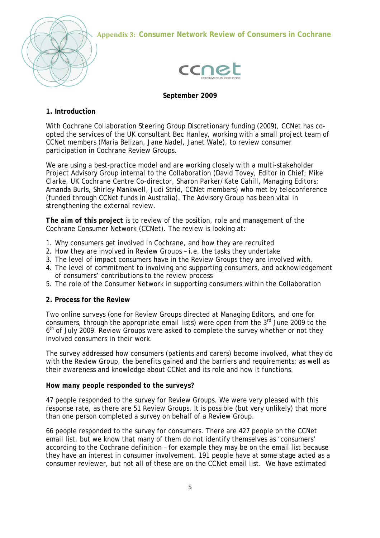

**Appendix 3: Consumer Network Review of Consumers in Cochrane**



# **September 2009**

# **1. Introduction**

With Cochrane Collaboration Steering Group Discretionary funding (2009), CCNet has coopted the services of the UK consultant Bec Hanley, working with a small project team of CCNet members (Maria Belizan, Jane Nadel, Janet Wale), to review consumer participation in Cochrane Review Groups.

We are using a best-practice model and are working closely with a multi-stakeholder Project Advisory Group internal to the Collaboration (David Tovey, Editor in Chief; Mike Clarke, UK Cochrane Centre Co-director, Sharon Parker/Kate Cahill, Managing Editors; Amanda Burls, Shirley Mankwell, Judi Strid, CCNet members) who met by teleconference (funded through CCNet funds in Australia). The Advisory Group has been vital in strengthening the external review.

*The aim of this project* is to review of the position, role and management of the Cochrane Consumer Network (CCNet). The review is looking at:

- 1. Why consumers get involved in Cochrane, and how they are recruited
- 2. How they are involved in Review Groups i.e. the tasks they undertake
- 3. The level of impact consumers have in the Review Groups they are involved with.
- 4. The level of commitment to involving and supporting consumers, and acknowledgement of consumers' contributions to the review process
- 5. The role of the Consumer Network in supporting consumers within the Collaboration

# **2. Process for the Review**

Two online surveys (one for Review Groups directed at Managing Editors, and one for consumers, through the appropriate email lists) were open from the  $3<sup>rd</sup>$  June 2009 to the 6<sup>th</sup> of July 2009. Review Groups were asked to complete the survey whether or not they involved consumers in their work.

The survey addressed how consumers (patients and carers) become involved, what they do with the Review Group, the benefits gained and the barriers and requirements; as well as their awareness and knowledge about CCNet and its role and how it functions.

#### *How many people responded to the surveys?*

47 people responded to the survey for Review Groups. We were very pleased with this response rate, as there are 51 Review Groups. It is possible (but very unlikely) that more than one person completed a survey on behalf of a Review Group.

66 people responded to the survey for consumers. There are 427 people on the CCNet email list, but we know that many of them do not identify themselves as 'consumers' according to the Cochrane definition – for example they may be on the email list because they have an interest in consumer involvement. 191 people have at some stage acted as a consumer reviewer, but not all of these are on the CCNet email list. We have estimated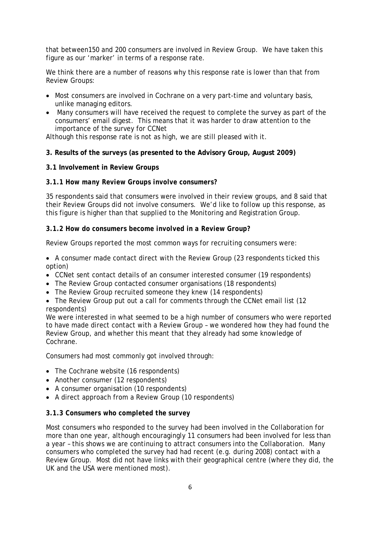that between150 and 200 consumers are involved in Review Group. We have taken this figure as our 'marker' in terms of a response rate.

We think there are a number of reasons why this response rate is lower than that from Review Groups:

- Most consumers are involved in Cochrane on a very part-time and voluntary basis, unlike managing editors.
- Many consumers will have received the request to complete the survey as part of the consumers' email digest. This means that it was harder to draw attention to the importance of the survey for CCNet

Although this response rate is not as high, we are still pleased with it.

# **3. Results of the surveys (as presented to the Advisory Group, August 2009)**

#### **3.1 Involvement in Review Groups**

#### *3.1.1 How many Review Groups involve consumers?*

35 respondents said that consumers were involved in their review groups, and 8 said that their Review Groups did not involve consumers. We'd like to follow up this response, as this figure is higher than that supplied to the Monitoring and Registration Group.

# *3.1.2 How do consumers become involved in a Review Group?*

Review Groups reported the most common ways for recruiting consumers were:

• A consumer made contact direct with the Review Group (23 respondents ticked this option)

- CCNet sent contact details of an consumer interested consumer (19 respondents)
- The Review Group contacted consumer organisations (18 respondents)
- The Review Group recruited someone they knew (14 respondents)

• The Review Group put out a call for comments through the CCNet email list (12) respondents)

We were interested in what seemed to be a high number of consumers who were reported to have made direct contact with a Review Group – we wondered how they had found the Review Group, and whether this meant that they already had some knowledge of Cochrane.

Consumers had most commonly got involved through:

- The Cochrane website (16 respondents)
- Another consumer (12 respondents)
- A consumer organisation (10 respondents)
- A direct approach from a Review Group (10 respondents)

#### *3.1.3 Consumers who completed the survey*

Most consumers who responded to the survey had been involved in the Collaboration for more than one year, although encouragingly 11 consumers had been involved for less than a year – this shows we are continuing to attract consumers into the Collaboration. Many consumers who completed the survey had had recent (e.g. during 2008) contact with a Review Group. Most did not have links with their geographical centre (where they did, the UK and the USA were mentioned most).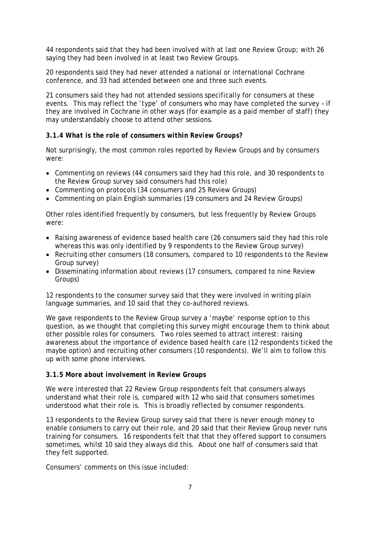44 respondents said that they had been involved with at last one Review Group; with 26 saying they had been involved in at least two Review Groups.

20 respondents said they had never attended a national or international Cochrane conference, and 33 had attended between one and three such events.

21 consumers said they had not attended sessions specifically for consumers at these events. This may reflect the 'type' of consumers who may have completed the survey – if they are involved in Cochrane in other ways (for example as a paid member of staff) they may understandably choose to attend other sessions.

#### *3.1.4 What is the role of consumers within Review Groups?*

Not surprisingly, the most common roles reported by Review Groups and by consumers were:

- Commenting on reviews (44 consumers said they had this role, and 30 respondents to the Review Group survey said consumers had this role)
- Commenting on protocols (34 consumers and 25 Review Groups)
- Commenting on plain English summaries (19 consumers and 24 Review Groups)

Other roles identified frequently by consumers, but less frequently by Review Groups were:

- Raising awareness of evidence based health care (26 consumers said they had this role whereas this was only identified by 9 respondents to the Review Group survey)
- Recruiting other consumers (18 consumers, compared to 10 respondents to the Review Group survey)
- Disseminating information about reviews (17 consumers, compared to nine Review Groups)

12 respondents to the consumer survey said that they were involved in writing plain language summaries, and 10 said that they co-authored reviews.

We gave respondents to the Review Group survey a 'maybe' response option to this question, as we thought that completing this survey might encourage them to think about other possible roles for consumers. Two roles seemed to attract interest: raising awareness about the importance of evidence based health care (12 respondents ticked the maybe option) and recruiting other consumers (10 respondents). We'll aim to follow this up with some phone interviews.

#### *3.1.5 More about involvement in Review Groups*

We were interested that 22 Review Group respondents felt that consumers always understand what their role is, compared with 12 who said that consumers sometimes understood what their role is. This is broadly reflected by consumer respondents.

13 respondents to the Review Group survey said that there is never enough money to enable consumers to carry out their role, and 20 said that their Review Group never runs training for consumers. 16 respondents felt that that they offered support to consumers sometimes, whilst 10 said they always did this. About one half of consumers said that they felt supported.

Consumers' comments on this issue included: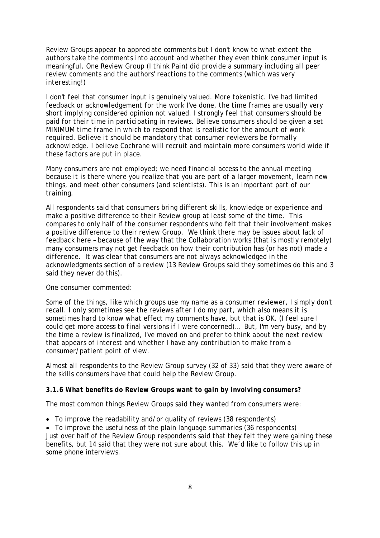*Review Groups appear to appreciate comments but I don't know to what extent the authors take the comments into account and whether they even think consumer input is meaningful. One Review Group (I think Pain) did provide a summary including all peer review comments and the authors' reactions to the comments (which was very interesting!)* 

*I don't feel that consumer input is genuinely valued. More tokenistic. I've had limited feedback or acknowledgement for the work I've done, the time frames are usually very short implying considered opinion not valued. I strongly feel that consumers should be paid for their time in participating in reviews. Believe consumers should be given a set MINIMUM time frame in which to respond that is realistic for the amount of work required. Believe it should be mandatory that consumer reviewers be formally acknowledge. I believe Cochrane will recruit and maintain more consumers world wide if these factors are put in place.* 

*Many consumers are not employed; we need financial access to the annual meeting because it is there where you realize that you are part of a larger movement, learn new things, and meet other consumers (and scientists). This is an important part of our training.* 

All respondents said that consumers bring different skills, knowledge or experience and make a positive difference to their Review group at least some of the time. This compares to only half of the consumer respondents who felt that their involvement makes a positive difference to their review Group. We think there may be issues about lack of feedback here – because of the way that the Collaboration works (that is mostly remotely) many consumers may not get feedback on how their contribution has (or has not) made a difference. It was clear that consumers are not always acknowledged in the acknowledgments section of a review (13 Review Groups said they sometimes do this and 3 said they never do this).

# One consumer commented:

*Some of the things, like which groups use my name as a consumer reviewer, I simply don't recall. I only sometimes see the reviews after I do my part, which also means it is sometimes hard to know what effect my comments have, but that is OK. (I feel sure I could get more access to final versions if I were concerned)… But, I'm very busy, and by the time a review is finalized, I've moved on and prefer to think about the next review that appears of interest and whether I have any contribution to make from a consumer/patient point of view.* 

Almost all respondents to the Review Group survey (32 of 33) said that they were aware of the skills consumers have that could help the Review Group.

#### *3.1.6 What benefits do Review Groups want to gain by involving consumers?*

The most common things Review Groups said they wanted from consumers were:

• To improve the readability and/or quality of reviews (38 respondents)

• To improve the usefulness of the plain language summaries (36 respondents) Just over half of the Review Group respondents said that they felt they were gaining these benefits, but 14 said that they were not sure about this. We'd like to follow this up in some phone interviews.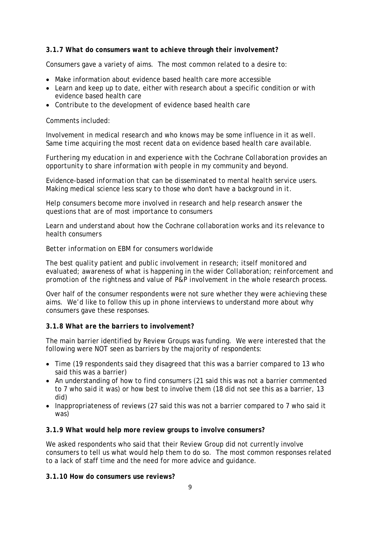# *3.1.7 What do consumers want to achieve through their involvement?*

Consumers gave a variety of aims. The most common related to a desire to:

- Make information about evidence based health care more accessible
- Learn and keep up to date, either with research about a specific condition or with evidence based health care
- Contribute to the development of evidence based health care

#### Comments included:

*Involvement in medical research and who knows may be some influence in it as well. Same time acquiring the most recent data on evidence based health care available.* 

*Furthering my education in and experience with the Cochrane Collaboration provides an opportunity to share information with people in my community and beyond.* 

*Evidence-based information that can be disseminated to mental health service users. Making medical science less scary to those who don't have a background in it.* 

*Help consumers become more involved in research and help research answer the questions that are of most importance to consumers* 

*Learn and understand about how the Cochrane collaboration works and its relevance to health consumers* 

#### *Better information on EBM for consumers worldwide*

*The best quality patient and public involvement in research; itself monitored and evaluated; awareness of what is happening in the wider Collaboration; reinforcement and promotion of the rightness and value of P&P involvement in the whole research process.* 

Over half of the consumer respondents were not sure whether they were achieving these aims. We'd like to follow this up in phone interviews to understand more about why consumers gave these responses.

#### *3.1.8 What are the barriers to involvement?*

The main barrier identified by Review Groups was funding. We were interested that the following were NOT seen as barriers by the majority of respondents:

- Time (19 respondents said they disagreed that this was a barrier compared to 13 who said this was a barrier)
- An understanding of how to find consumers (21 said this was not a barrier commented to 7 who said it was) or how best to involve them (18 did not see this as a barrier, 13 did)
- Inappropriateness of reviews (27 said this was not a barrier compared to 7 who said it was)

#### *3.1.9 What would help more review groups to involve consumers?*

We asked respondents who said that their Review Group did not currently involve consumers to tell us what would help them to do so. The most common responses related to a lack of staff time and the need for more advice and guidance.

#### *3.1.10 How do consumers use reviews?*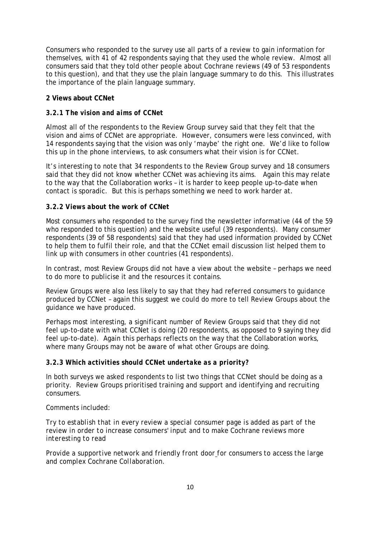Consumers who responded to the survey use all parts of a review to gain information for themselves, with 41 of 42 respondents saying that they used the whole review. Almost all consumers said that they told other people about Cochrane reviews (49 of 53 respondents to this question), and that they use the plain language summary to do this. This illustrates the importance of the plain language summary.

# **2 Views about CCNet**

# *3.2.1 The vision and aims of CCNet*

Almost all of the respondents to the Review Group survey said that they felt that the vision and aims of CCNet are appropriate. However, consumers were less convinced, with 14 respondents saying that the vision was only 'maybe' the right one. We'd like to follow this up in the phone interviews, to ask consumers what their vision is for CCNet.

It's interesting to note that 34 respondents to the Review Group survey and 18 consumers said that they did not know whether CCNet was achieving its aims. Again this may relate to the way that the Collaboration works – it is harder to keep people up-to-date when contact is sporadic. But this is perhaps something we need to work harder at.

# *3.2.2 Views about the work of CCNet*

Most consumers who responded to the survey find the newsletter informative (44 of the 59 who responded to this question) and the website useful (39 respondents). Many consumer respondents (39 of 58 respondents) said that they had used information provided by CCNet to help them to fulfil their role, and that the CCNet email discussion list helped them to link up with consumers in other countries (41 respondents).

In contrast, most Review Groups did not have a view about the website – perhaps we need to do more to publicise it and the resources it contains.

Review Groups were also less likely to say that they had referred consumers to guidance produced by CCNet – again this suggest we could do more to tell Review Groups about the guidance we have produced.

Perhaps most interesting, a significant number of Review Groups said that they did not feel up-to-date with what CCNet is doing (20 respondents, as opposed to 9 saying they did feel up-to-date). Again this perhaps reflects on the way that the Collaboration works, where many Groups may not be aware of what other Groups are doing.

#### *3.2.3 Which activities should CCNet undertake as a priority?*

In both surveys we asked respondents to list two things that CCNet should be doing as a priority. Review Groups prioritised training and support and identifying and recruiting consumers.

Comments included:

*Try to establish that in every review a special consumer page is added as part of the review in order to increase consumers' input and to make Cochrane reviews more interesting to read* 

*Provide a supportive network and friendly front door for consumers to access the large and complex Cochrane Collaboration.*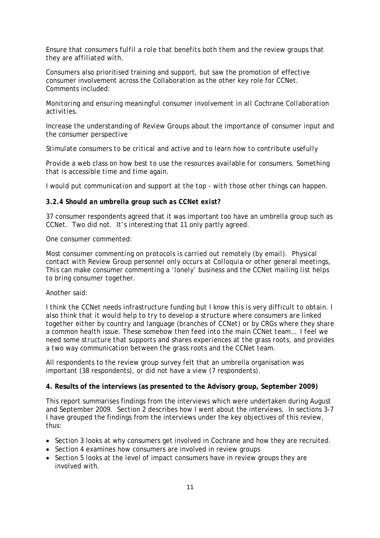*Ensure that consumers fulfil a role that benefits both them and the review groups that they are affiliated with.* 

Consumers also prioritised training and support, but saw the promotion of effective consumer involvement across the Collaboration as the other key role for CCNet. Comments included:

*Monitoring and ensuring meaningful consumer involvement in all Cochrane Collaboration activities.* 

*Increase the understanding of Review Groups about the importance of consumer input and the consumer perspective* 

*Stimulate consumers to be critical and active and to learn how to contribute usefully* 

*Provide a web class on how best to use the resources available for consumers. Something that is accessible time and time again.* 

*I would put communication and support at the top - with those other things can happen.* 

#### *3.2.4 Should an umbrella group such as CCNet exist?*

37 consumer respondents agreed that it was important too have an umbrella group such as CCNet. Two did not. It's interesting that 11 only partly agreed.

One consumer commented:

*Most consumer commenting on protocols is carried out remotely (by email). Physical contact with Review Group personnel only occurs at Colloquia or other general meetings, This can make consumer commenting a 'lonely' business and the CCNet mailing list helps to bring consumer together.* 

#### Another said:

*I think the CCNet needs infrastructure funding but I know this is very difficult to obtain. I also think that it would help to try to develop a structure where consumers are linked together either by country and language (branches of CCNet) or by CRGs where they share a common health issue. These somehow then feed into the main CCNet team… I feel we need some structure that supports and shares experiences at the grass roots, and provides a two way communication between the grass roots and the CCNet team.* 

All respondents to the review group survey felt that an umbrella organisation was important (38 respondents), or did not have a view (7 respondents).

#### **4. Results of the interviews (as presented to the Advisory group, September 2009)**

This report summarises findings from the interviews which were undertaken during August and September 2009. Section 2 describes how I went about the interviews. In sections 3-7 I have grouped the findings from the interviews under the key objectives of this review, thus:

- Section 3 looks at why consumers get involved in Cochrane and how they are recruited.
- Section 4 examines how consumers are involved in review groups
- Section 5 looks at the level of impact consumers have in review groups they are involved with.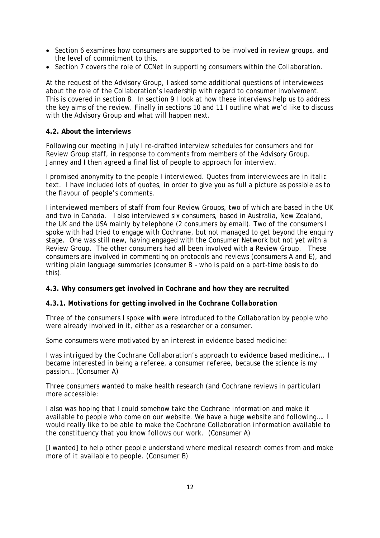- Section 6 examines how consumers are supported to be involved in review groups, and the level of commitment to this.
- Section 7 covers the role of CCNet in supporting consumers within the Collaboration.

At the request of the Advisory Group, I asked some additional questions of interviewees about the role of the Collaboration's leadership with regard to consumer involvement. This is covered in section 8. In section 9 I look at how these interviews help us to address the key aims of the review. Finally in sections 10 and 11 I outline what we'd like to discuss with the Advisory Group and what will happen next.

#### **4.2. About the interviews**

Following our meeting in July I re-drafted interview schedules for consumers and for Review Group staff, in response to comments from members of the Advisory Group. Janney and I then agreed a final list of people to approach for interview.

I promised anonymity to the people I interviewed. Quotes from interviewees are in *italic text.* I have included lots of quotes, in order to give you as full a picture as possible as to the flavour of people's comments.

I interviewed members of staff from four Review Groups, two of which are based in the UK and two in Canada. I also interviewed six consumers, based in Australia, New Zealand, the UK and the USA mainly by telephone (2 consumers by email). Two of the consumers I spoke with had tried to engage with Cochrane, but not managed to get beyond the enquiry stage. One was still new, having engaged with the Consumer Network but not yet with a Review Group. The other consumers had all been involved with a Review Group. These consumers are involved in commenting on protocols and reviews (consumers A and E), and writing plain language summaries (consumer B – who is paid on a part-time basis to do this).

#### **4.3. Why consumers get involved in Cochrane and how they are recruited**

#### *4.3.1. Motivations for getting involved in Ihe Cochrane Collaboration*

Three of the consumers I spoke with were introduced to the Collaboration by people who were already involved in it, either as a researcher or a consumer.

Some consumers were motivated by an interest in evidence based medicine:

*I was intrigued by the Cochrane Collaboration's approach to evidence based medicine… I became interested in being a referee, a consumer referee, because the science is my passion…* (Consumer A)

Three consumers wanted to make health research (and Cochrane reviews in particular) more accessible:

*I also was hoping that I could somehow take the Cochrane information and make it available to people who come on our website. We have a huge website and following…. I would really like to be able to make the Cochrane Collaboration information available to the constituency that you know follows our work.* (Consumer A)

[I wanted] *to help other people understand where medical research comes from and make more of it available to people.* (Consumer B)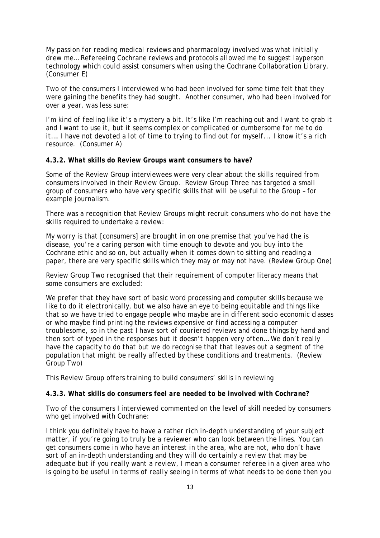*My passion for reading medical reviews and pharmacology involved was what initially drew me… Refereeing Cochrane reviews and protocols allowed me to suggest layperson technology which could assist consumers when using the Cochrane Collaboration Library.*  (Consumer E)

Two of the consumers I interviewed who had been involved for some time felt that they were gaining the benefits they had sought. Another consumer, who had been involved for over a year, was less sure:

*I'm kind of feeling like it's a mystery a bit. It's like I'm reaching out and I want to grab it and I want to use it, but it seems complex or complicated or cumbersome for me to do it…. I have not devoted a lot of time to trying to find out for myself... I know it's a rich resource.* (Consumer A)

#### *4.3.2. What skills do Review Groups want consumers to have?*

Some of the Review Group interviewees were very clear about the skills required from consumers involved in their Review Group. Review Group Three has targeted a small group of consumers who have very specific skills that will be useful to the Group – for example journalism.

There was a recognition that Review Groups might recruit consumers who do not have the skills required to undertake a review:

*My worry is that* [consumers] *are brought in on one premise that you've had the is disease, you're a caring person with time enough to devote and you buy into the Cochrane ethic and so on, but actually when it comes down to sitting and reading a*  paper, there are very specific skills which they may or may not have. (Review Group One)

Review Group Two recognised that their requirement of computer literacy means that some consumers are excluded:

*We prefer that they have sort of basic word processing and computer skills because we like to do it electronically, but we also have an eye to being equitable and things like that so we have tried to engage people who maybe are in different socio economic classes or who maybe find printing the reviews expensive or find accessing a computer troublesome, so in the past I have sort of couriered reviews and done things by hand and then sort of typed in the responses but it doesn't happen very often… We don't really have the capacity to do that but we do recognise that that leaves out a segment of the population that might be really affected by these conditions and treatments.* (Review Group Two)

This Review Group offers training to build consumers' skills in reviewing

#### *4.3.3. What skills do consumers feel are needed to be involved with Cochrane?*

Two of the consumers I interviewed commented on the level of skill needed by consumers who get involved with Cochrane:

*I think you definitely have to have a rather rich in-depth understanding of your subject matter, if you're going to truly be a reviewer who can look between the lines. You can get consumers come in who have an interest in the area, who are not, who don't have sort of an in-depth understanding and they will do certainly a review that may be adequate but if you really want a review, I mean a consumer referee in a given area who is going to be useful in terms of really seeing in terms of what needs to be done then you*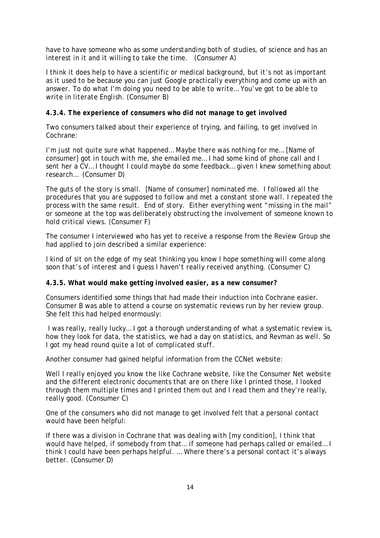*have to have someone who as some understanding both of studies, of science and has an interest in it and it willing to take the time.* (Consumer A)

*I think it does help to have a scientific or medical background, but it's not as important as it used to be because you can just Google practically everything and come up with an answer. To do what I'm doing you need to be able to write… You've got to be able to write in literate English.* (Consumer B)

#### *4.3.4. The experience of consumers who did not manage to get involved*

Two consumers talked about their experience of trying, and failing, to get involved in Cochrane:

*I'm just not quite sure what happened... Maybe there was nothing for me...* [Name of consumer] *got in touch with me, she emailed me… I had some kind of phone call and I sent her a CV… I thought I could maybe do some feedback… given I knew something about research…* (Consumer D)

*The guts of the story is small.* [Name of consumer] *nominated me. I followed all the procedures that you are supposed to follow and met a constant stone wall. I repeated the process with the same result. End of story. Either everything went "missing in the mail" or someone at the top was deliberately obstructing the involvement of someone known to hold critical views.* (Consumer F)

The consumer I interviewed who has yet to receive a response from the Review Group she had applied to join described a similar experience:

*I kind of sit on the edge of my seat thinking you know I hope something will come along soon that's of interest and I guess I haven't really received anything.* (Consumer C)

#### *4.3.5. What would make getting involved easier, as a new consumer?*

Consumers identified some things that had made their induction into Cochrane easier. Consumer B was able to attend a course on systematic reviews run by her review group. She felt this had helped enormously:

*I was really, really lucky… I got a thorough understanding of what a systematic review is, how they look for data, the statistics, we had a day on statistics, and Revman as well. So I got my head round quite a lot of complicated stuff.* 

Another consumer had gained helpful information from the CCNet website:

*Well I really enjoyed you know the like Cochrane website, like the Consumer Net website and the different electronic documents that are on there like I printed those, I looked through them multiple times and I printed them out and I read them and they're really, really good*. (Consumer C)

One of the consumers who did not manage to get involved felt that a personal contact would have been helpful:

*If there was a division in Cochrane that was dealing with* [my condition]*, I think that would have helped, if somebody from that… if someone had perhaps called or emailed… I think I could have been perhaps helpful. … Where there's a personal contact it's always better.* (Consumer D)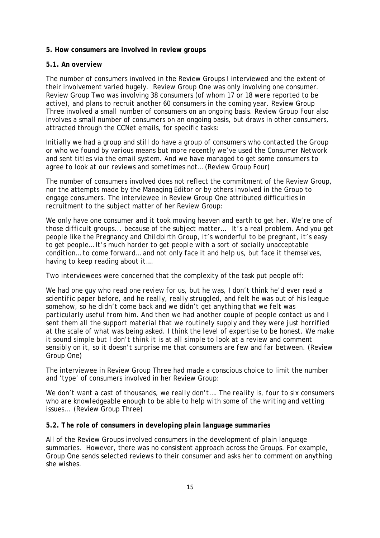#### **5. How consumers are involved in review groups**

#### *5.1. An overview*

The number of consumers involved in the Review Groups I interviewed and the extent of their involvement varied hugely. Review Group One was only involving one consumer. Review Group Two was involving 38 consumers (of whom 17 or 18 were reported to be active), and plans to recruit another 60 consumers in the coming year. Review Group Three involved a small number of consumers on an ongoing basis. Review Group Four also involves a small number of consumers on an ongoing basis, but draws in other consumers, attracted through the CCNet emails, for specific tasks:

*Initially we had a group and still do have a group of consumers who contacted the Group or who we found by various means but more recently we've used the Consumer Network and sent titles via the email system. And we have managed to get some consumers to agree to look at our reviews and sometimes not…* (Review Group Four)

The number of consumers involved does not reflect the commitment of the Review Group, nor the attempts made by the Managing Editor or by others involved in the Group to engage consumers. The interviewee in Review Group One attributed difficulties in recruitment to the subject matter of her Review Group:

*We only have one consumer and it took moving heaven and earth to get her. We're one of those difficult groups... because of the subject matter… It's a real problem. And you get people like the Pregnancy and Childbirth Group, it's wonderful to be pregnant, it's easy to get people… It's much harder to get people with a sort of socially unacceptable condition… to come forward… and not only face it and help us, but face it themselves, having to keep reading about it….* 

Two interviewees were concerned that the complexity of the task put people off:

*We had one guy who read one review for us, but he was, I don't think he'd ever read a scientific paper before, and he really, really struggled, and felt he was out of his league somehow, so he didn't come back and we didn't get anything that we felt was particularly useful from him. And then we had another couple of people contact us and I sent them all the support material that we routinely supply and they were just horrified at the scale of what was being asked. I think the level of expertise to be honest. We make it sound simple but I don't think it is at all simple to look at a review and comment sensibly on it, so it doesn't surprise me that consumers are few and far between.* (Review Group One)

The interviewee in Review Group Three had made a conscious choice to limit the number and 'type' of consumers involved in her Review Group:

*We don't want a cast of thousands, we really don't…. The reality is, four to six consumers*  who are knowledgeable enough to be able to help with some of the writing and vetting *issues…* (Review Group Three)

#### *5.2. The role of consumers in developing plain language summaries*

All of the Review Groups involved consumers in the development of plain language summaries. However, there was no consistent approach across the Groups. For example, Group One sends selected reviews to their consumer and asks her to comment on anything she wishes.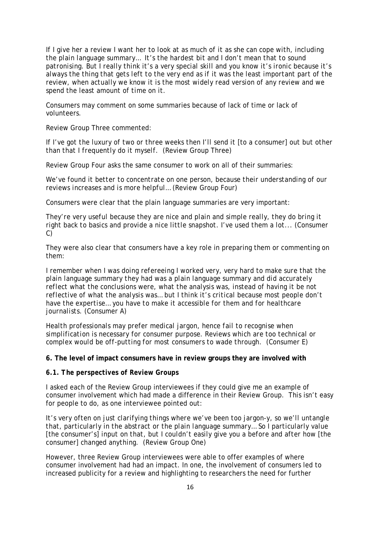*If I give her a review I want her to look at as much of it as she can cope with, including the plain language summary… It's the hardest bit and I don't mean that to sound patronising. But I really think it's a very special skill and you know it's ironic because it's always the thing that gets left to the very end as if it was the least important part of the review, when actually we know it is the most widely read version of any review and we spend the least amount of time on it.* 

Consumers may comment on some summaries because of lack of time or lack of volunteers.

Review Group Three commented:

*If I've got the luxury of two or three weeks then I'll send it* [to a consumer] *out but other than that I frequently do it myself.* (Review Group Three)

Review Group Four asks the same consumer to work on all of their summaries:

*We've found it better to concentrate on one person, because their understanding of our reviews increases and is more helpful…* (Review Group Four)

Consumers were clear that the plain language summaries are very important:

*They're very useful because they are nice and plain and simple really, they do bring it right back to basics and provide a nice little snapshot. I've used them a lot...* (Consumer C)

They were also clear that consumers have a key role in preparing them or commenting on them:

*I remember when I was doing refereeing I worked very, very hard to make sure that the plain language summary they had was a plain language summary and did accurately reflect what the conclusions were, what the analysis was, instead of having it be not reflective of what the analysis was… but I think it's critical because most people don't have the expertise… you have to make it accessible for them and for healthcare journalists.* (Consumer A)

*Health professionals may prefer medical jargon, hence fail to recognise when simplification is necessary for consumer purpose. Reviews which are too technical or complex would be off-putting for most consumers to wade through.* (Consumer E)

**6. The level of impact consumers have in review groups they are involved with** 

#### *6.1. The perspectives of Review Groups*

I asked each of the Review Group interviewees if they could give me an example of consumer involvement which had made a difference in their Review Group. This isn't easy for people to do, as one interviewee pointed out:

*It's very often on just clarifying things where we've been too jargon-y, so we'll untangle that, particularly in the abstract or the plain language summary… So I particularly value*  [the consumer's] *input on that, but I couldn't easily give you a before and after how* [the consumer] *changed anything.* (Review Group One)

However, three Review Group interviewees were able to offer examples of where consumer involvement had had an impact. In one, the involvement of consumers led to increased publicity for a review and highlighting to researchers the need for further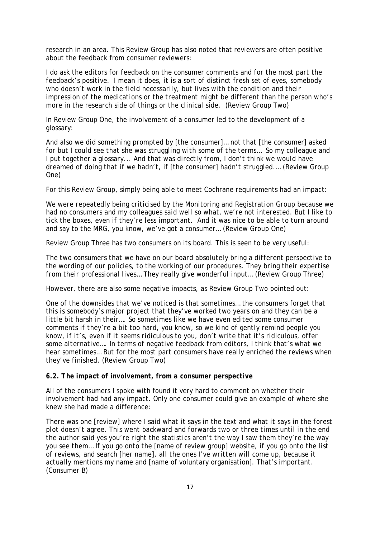research in an area. This Review Group has also noted that reviewers are often positive about the feedback from consumer reviewers:

*I do ask the editors for feedback on the consumer comments and for the most part the feedback's positive. I mean it does, it is a sort of distinct fresh set of eyes, somebody who doesn't work in the field necessarily, but lives with the condition and their impression of the medications or the treatment might be different than the person who's more in the research side of things or the clinical side.* (Review Group Two)

In Review Group One, the involvement of a consumer led to the development of a glossary:

*And also we did something prompted by* [the consumer]… *not that* [the consumer] *asked for but I could see that she was struggling with some of the terms… So my colleague and I put together a glossary... And that was directly from, I don't think we would have dreamed of doing that if we hadn't, if* [the consumer] *hadn't struggled.…* (Review Group One)

For this Review Group, simply being able to meet Cochrane requirements had an impact:

*We were repeatedly being criticised by the Monitoring and Registration Group because we had no consumers and my colleagues said well so what, we're not interested. But I like to tick the boxes, even if they're less important. And it was nice to be able to turn around and say to the MRG, you know, we've got a consumer…* (Review Group One)

Review Group Three has two consumers on its board. This is seen to be very useful:

*The two consumers that we have on our board absolutely bring a different perspective to the wording of our policies, to the working of our procedures. They bring their expertise from their professional lives… They really give wonderful input…* (Review Group Three)

However, there are also some negative impacts, as Review Group Two pointed out:

*One of the downsides that we've noticed is that sometimes… the consumers forget that this is somebody's major project that they've worked two years on and they can be a little bit harsh in their…. So sometimes like we have even edited some consumer comments if they're a bit too hard, you know, so we kind of gently remind people you know, if it's, even if it seems ridiculous to you, don't write that it's ridiculous, offer some alternative…. In terms of negative feedback from editors, I think that's what we hear sometimes… But for the most part consumers have really enriched the reviews when they've finished.* (Review Group Two)

*6.2. The impact of involvement, from a consumer perspective* 

All of the consumers I spoke with found it very hard to comment on whether their involvement had had any impact. Only one consumer could give an example of where she knew she had made a difference:

*There was one* [review] *where I said what it says in the text and what it says in the forest plot doesn't agree. This went backward and forwards two or three times until in the end the author said yes you're right the statistics aren't the way I saw them they're the way you see them… If you go onto the* [name of review group] *website, if you go onto the list of reviews, and search* [her name], *all the ones I've written will come up, because it actually mentions my name and* [name of voluntary organisation]. *That's important.*  (Consumer B)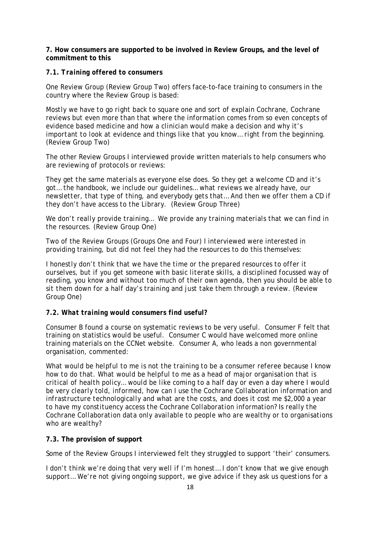**7. How consumers are supported to be involved in Review Groups, and the level of commitment to this** 

#### *7.1. Training offered to consumers*

One Review Group (Review Group Two) offers face-to-face training to consumers in the country where the Review Group is based:

*Mostly we have to go right back to square one and sort of explain Cochrane, Cochrane reviews but even more than that where the information comes from so even concepts of evidence based medicine and how a clinician would make a decision and why it's important to look at evidence and things like that you know… right from the beginning.* (Review Group Two)

The other Review Groups I interviewed provide written materials to help consumers who are reviewing of protocols or reviews:

*They get the same materials as everyone else does. So they get a welcome CD and it's got… the handbook, we include our guidelines… what reviews we already have, our newsletter, that type of thing, and everybody gets that… And then we offer them a CD if they don't have access to the Library.* (Review Group Three)

*We don't really provide training… We provide any training materials that we can find in the resources.* (Review Group One)

Two of the Review Groups (Groups One and Four) I interviewed were interested in providing training, but did not feel they had the resources to do this themselves:

*I honestly don't think that we have the time or the prepared resources to offer it ourselves, but if you get someone with basic literate skills, a disciplined focussed way of reading, you know and without too much of their own agenda, then you should be able to sit them down for a half day's training and just take them through a review*. (Review Group One)

#### *7.2. What training would consumers find useful?*

Consumer B found a course on systematic reviews to be very useful. Consumer F felt that training on statistics would be useful. Consumer C would have welcomed more online training materials on the CCNet website. Consumer A, who leads a non governmental organisation, commented:

*What would be helpful to me is not the training to be a consumer referee because I know how to do that. What would be helpful to me as a head of major organisation that is critical of health policy… would be like coming to a half day or even a day where I would be very clearly told, informed, how can I use the Cochrane Collaboration information and infrastructure technologically and what are the costs, and does it cost me \$2,000 a year to have my constituency access the Cochrane Collaboration information? Is really the Cochrane Collaboration data only available to people who are wealthy or to organisations who are wealthy?* 

#### **7.3. The provision of support**

Some of the Review Groups I interviewed felt they struggled to support 'their' consumers.

*I don't think we're doing that very well if I'm honest… I don't know that we give enough support… We're not giving ongoing support, we give advice if they ask us questions for a*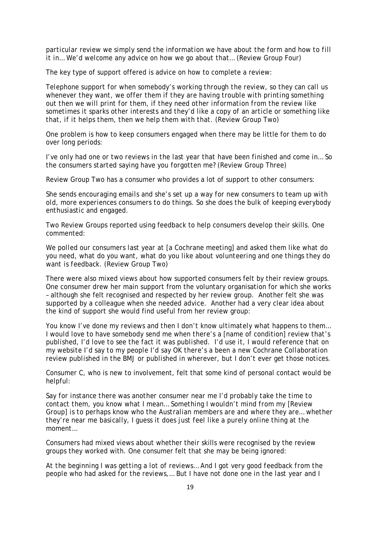*particular review we simply send the information we have about the form and how to fill it in… We'd welcome any advice on how we go about that…* (Review Group Four)

The key type of support offered is advice on how to complete a review:

*Telephone support for when somebody's working through the review, so they can call us whenever they want, we offer them if they are having trouble with printing something out then we will print for them, if they need other information from the review like sometimes it sparks other interests and they'd like a copy of an article or something like that, if it helps them, then we help them with that.* (Review Group Two)

One problem is how to keep consumers engaged when there may be little for them to do over long periods:

*I've only had one or two reviews in the last year that have been finished and come in… So the consumers started saying have you forgotten me?* (Review Group Three)

Review Group Two has a consumer who provides a lot of support to other consumers:

*She sends encouraging emails and she's set up a way for new consumers to team up with old, more experiences consumers to do things. So she does the bulk of keeping everybody enthusiastic and engaged.* 

Two Review Groups reported using feedback to help consumers develop their skills. One commented:

*We polled our consumers last year at* [a Cochrane meeting] *and asked them like what do you need, what do you want, what do you like about volunteering and one things they do want is feedback.* (Review Group Two)

There were also mixed views about how supported consumers felt by their review groups. One consumer drew her main support from the voluntary organisation for which she works – although she felt recognised and respected by her review group. Another felt she was supported by a colleague when she needed advice. Another had a very clear idea about the kind of support she would find useful from her review group:

*You know I've done my reviews and then I don't know ultimately what happens to them… I would love to have somebody send me when there's a [name of condition] review that's published, I'd love to see the fact it was published. I'd use it, I would reference that on my website I'd say to my people I'd say OK there's a been a new Cochrane Collaboration review published in the BMJ or published in wherever, but I don't ever get those notices.* 

Consumer C, who is new to involvement, felt that some kind of personal contact would be helpful:

*Say for instance there was another consumer near me I'd probably take the time to contact them, you know what I mean… Something I wouldn't mind from my* [Review Group] *is to perhaps know who the Australian members are and where they are… whether they're near me basically, I guess it does just feel like a purely online thing at the moment…* 

Consumers had mixed views about whether their skills were recognised by the review groups they worked with. One consumer felt that she may be being ignored:

*At the beginning I was getting a lot of reviews… And I got very good feedback from the people who had asked for the reviews,… But I have not done one in the last year and I*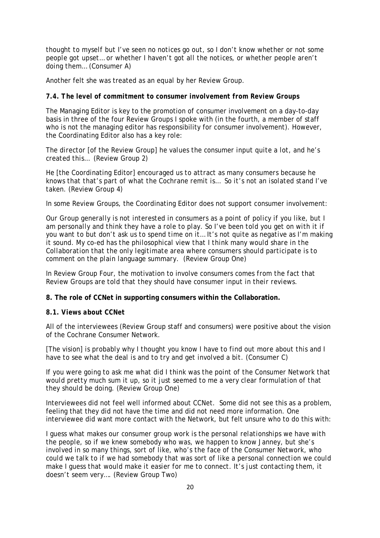*thought to myself but I've seen no notices go out, so I don't know whether or not some people got upset… or whether I haven't got all the notices, or whether people aren't doing them…* (Consumer A)

Another felt she was treated *as an equal* by her Review Group.

#### *7.4. The level of commitment to consumer involvement from Review Groups*

The Managing Editor is key to the promotion of consumer involvement on a day-to-day basis in three of the four Review Groups I spoke with (in the fourth, a member of staff who is not the managing editor has responsibility for consumer involvement). However, the Coordinating Editor also has a key role:

*The director* [of the Review Group] *he values the consumer input quite a lot, and he's created this…* (Review Group 2)

*He* [the Coordinating Editor] *encouraged us to attract as many consumers because he knows that that's part of what the Cochrane remit is… So it's not an isolated stand I've taken.* (Review Group 4)

In some Review Groups, the Coordinating Editor does not support consumer involvement:

*Our Group generally is not interested in consumers as a point of policy if you like, but I*  am personally and think they have a role to play. So I've been told you get on with it if *you want to but don't ask us to spend time on it… It's not quite as negative as I'm making it sound. My co-ed has the philosophical view that I think many would share in the Collaboration that the only legitimate area where consumers should participate is to comment on the plain language summary.* (Review Group One)

In Review Group Four, the motivation to involve consumers *comes from the fact that Review Groups are told that they should have consumer input in their reviews.* 

**8. The role of CCNet in supporting consumers within the Collaboration.** 

#### *8.1. Views about CCNet*

All of the interviewees (Review Group staff and consumers) were positive about the vision of the Cochrane Consumer Network.

[The vision] *is probably why I thought you know I have to find out more about this and I have to see what the deal is and to try and get involved a bit.* (Consumer C)

*If you were going to ask me what did I think was the point of the Consumer Network that would pretty much sum it up, so it just seemed to me a very clear formulation of that they should be doing.* (Review Group One)

Interviewees did not feel well informed about CCNet. Some did not see this as a problem, feeling that they did not have the time and did not need more information. One interviewee did want more contact with the Network, but felt unsure who to do this with:

*I guess what makes our consumer group work is the personal relationships we have with the people, so if we knew somebody who was, we happen to know Janney, but she's involved in so many things, sort of like, who's the face of the Consumer Network, who could we talk to if we had somebody that was sort of like a personal connection we could make I guess that would make it easier for me to connect. It's just contacting them, it doesn't seem very….* (Review Group Two)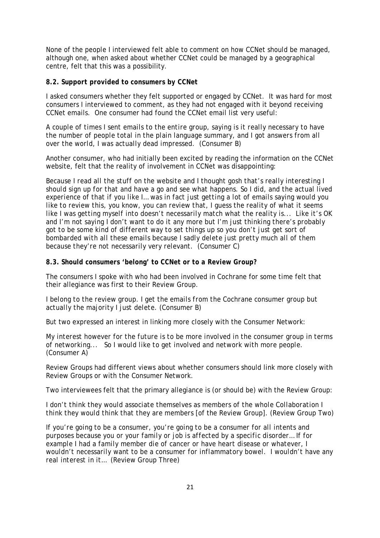None of the people I interviewed felt able to comment on how CCNet should be managed, although one, when asked about whether CCNet could be managed by a geographical centre, felt that this was a possibility.

#### *8.2. Support provided to consumers by CCNet*

I asked consumers whether they felt supported or engaged by CCNet. It was hard for most consumers I interviewed to comment, as they had not engaged with it beyond receiving CCNet emails. One consumer had found the CCNet email list very useful:

*A couple of times I sent emails to the entire group, saying is it really necessary to have the number of people total in the plain language summary, and I got answers from all over the world, I was actually dead impressed.* (Consumer B)

Another consumer, who had initially been excited by reading the information on the CCNet website, felt that the reality of involvement in CCNet was disappointing:

*Because I read all the stuff on the website and I thought gosh that's really interesting I should sign up for that and have a go and see what happens. So I did, and the actual lived experience of that if you like I… was in fact just getting a lot of emails saying would you like to review this, you know, you can review that, I guess the reality of what it seems like I was getting myself into doesn't necessarily match what the reality is... Like it's OK and I'm not saying I don't want to do it any more but I'm just thinking there's probably got to be some kind of different way to set things up so you don't just get sort of bombarded with all these emails because I sadly delete just pretty much all of them because they're not necessarily very relevant.* (Consumer C)

#### *8.3. Should consumers 'belong' to CCNet or to a Review Group?*

The consumers I spoke with who had been involved in Cochrane for some time felt that their allegiance was first to their Review Group.

*I belong to the review group. I get the emails from the Cochrane consumer group but actually the majority I just delete.* (Consumer B)

But two expressed an interest in linking more closely with the Consumer Network:

*My interest however for the future is to be more involved in the consumer group in terms of networking... So I would like to get involved and network with more people.*  (Consumer A)

Review Groups had different views about whether consumers should link more closely with Review Groups or with the Consumer Network.

Two interviewees felt that the primary allegiance is (or should be) with the Review Group:

*I don't think they would associate themselves as members of the whole Collaboration I think they would think that they are members* [of the Review Group]. (Review Group Two)

*If you're going to be a consumer, you're going to be a consumer for all intents and purposes because you or your family or job is affected by a specific disorder… If for example I had a family member die of cancer or have heart disease or whatever, I wouldn't necessarily want to be a consumer for inflammatory bowel. I wouldn't have any real interest in it…* (Review Group Three)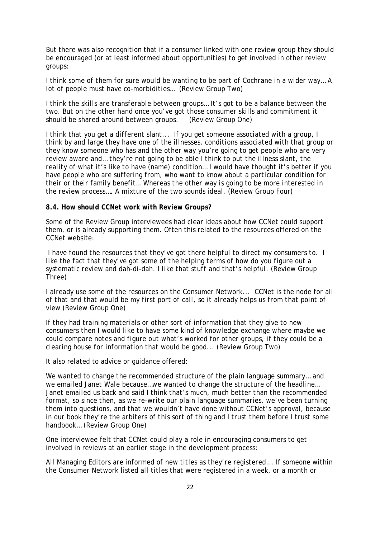But there was also recognition that if a consumer linked with one review group they should be encouraged (or at least informed about opportunities) to get involved in other review groups:

*I think some of them for sure would be wanting to be part of Cochrane in a wider way… A lot of people must have co-morbidities…* (Review Group Two)

*I think the skills are transferable between groups… It's got to be a balance between the two. But on the other hand once you've got those consumer skills and commitment it should be shared around between groups.* (Review Group One)

*I think that you get a different slant... If you get someone associated with a group, I think by and large they have one of the illnesses, conditions associated with that group or they know someone who has and the other way you're going to get people who are very review aware and… they're not going to be able I think to put the illness slant, the reality of what it's like to have (name) condition… I would have thought it's better if you have people who are suffering from, who want to know about a particular condition for their or their family benefit… Whereas the other way is going to be more interested in the review process…. A mixture of the two sounds ideal.* (Review Group Four)

#### *8.4. How should CCNet work with Review Groups?*

Some of the Review Group interviewees had clear ideas about how CCNet could support them, or is already supporting them. Often this related to the resources offered on the CCNet website:

*I have found the resources that they've got there helpful to direct my consumers to. I like the fact that they've got some of the helping terms of how do you figure out a systematic review and dah-di-dah. I like that stuff and that's helpful.* (Review Group Three)

*I already use some of the resources on the Consumer Network... CCNet is the node for all of that and that would be my first port of call, so it already helps us from that point of view* (Review Group One)

*If they had training materials or other sort of information that they give to new consumers then I would like to have some kind of knowledge exchange where maybe we could compare notes and figure out what's worked for other groups, if they could be a clearing house for information that would be good...* (Review Group Two)

It also related to advice or guidance offered:

*We wanted to change the recommended structure of the plain language summary… and we emailed Janet Wale because…we wanted to change the structure of the headline… Janet emailed us back and said I think that's much, much better than the recommended format, so since then, as we re-write our plain language summaries, we've been turning them into questions, and that we wouldn't have done without CCNet's approval, because in our book they're the arbiters of this sort of thing and I trust them before I trust some handbook…* (Review Group One)

One interviewee felt that CCNet could play a role in encouraging consumers to get involved in reviews at an earlier stage in the development process:

*All Managing Editors are informed of new titles as they're registered…. If someone within the Consumer Network listed all titles that were registered in a week, or a month or*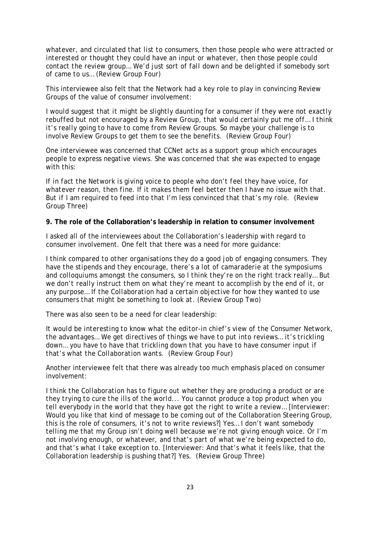*whatever, and circulated that list to consumers, then those people who were attracted or interested or thought they could have an input or whatever, then those people could contact the review group… We'd just sort of fall down and be delighted if somebody sort of came to us…* (Review Group Four)

This interviewee also felt that the Network had a key role to play in convincing Review Groups of the value of consumer involvement:

*I would suggest that it might be slightly daunting for a consumer if they were not exactly rebuffed but not encouraged by a Review Group, that would certainly put me off… I think it's really going to have to come from Review Groups. So maybe your challenge is to involve Review Groups to get them to see the benefits*. (Review Group Four)

One interviewee was concerned that CCNet acts as a support group which encourages people to express negative views. She was concerned that she was expected to engage with this:

*If in fact the Network is giving voice to people who don't feel they have voice, for whatever reason, then fine. If it makes them feel better then I have no issue with that. But if I am required to feed into that I'm less convinced that that's my role.* (Review Group Three)

#### **9. The role of the Collaboration's leadership in relation to consumer involvement**

I asked all of the interviewees about the Collaboration's leadership with regard to consumer involvement. One felt that there was a need for more guidance:

*I think compared to other organisations they do a good job of engaging consumers. They have the stipends and they encourage, there's a lot of camaraderie at the symposiums and colloquiums amongst the consumers, so I think they're on the right track really… But we don't really instruct them on what they're meant to accomplish by the end of it, or any purpose… If the Collaboration had a certain objective for how they wanted to use consumers that might be something to look at.* (Review Group Two)

There was also seen to be a need for clear leadership:

*It would be interesting to know what the editor-in chief's view of the Consumer Network, the advantages… We get directives of things we have to put into reviews… it's trickling down… you have to have that trickling down that you have to have consumer input if that's what the Collaboration wants.* (Review Group Four)

Another interviewee felt that there was already too much emphasis placed on consumer involvement:

*I think the Collaboration has to figure out whether they are producing a product or are they trying to cure the ills of the world... You cannot produce a top product when you tell everybody in the world that they have got the right to write a review…* [Interviewer: Would you like that kind of message to be coming out of the Collaboration Steering Group, this is the role of consumers, it's not to write reviews?] *Yes… I don't want somebody telling me that my Group isn't doing well because we're not giving enough voice. Or I'm not involving enough, or whatever, and that's part of what we're being expected to do, and that's what I take exception to.* [Interviewer: And that's what it feels like, that the Collaboration leadership is pushing that?] *Yes.* (Review Group Three)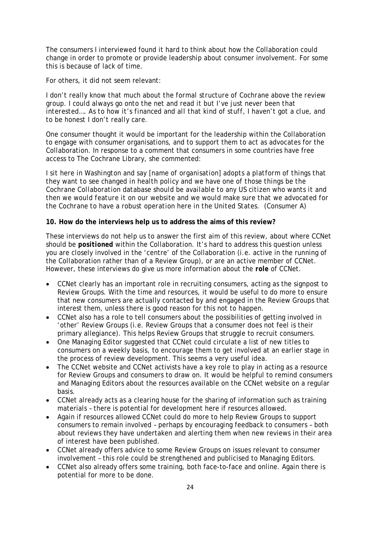The consumers I interviewed found it hard to think about how the Collaboration could change in order to promote or provide leadership about consumer involvement. For some this is because of lack of time.

For others, it did not seem relevant:

*I don't really know that much about the formal structure of Cochrane above the review group. I could always go onto the net and read it but I've just never been that interested…. As to how it's financed and all that kind of stuff, I haven't got a clue, and to be honest I don't really care.* 

One consumer thought it would be important for the leadership within the Collaboration to engage with consumer organisations, and to support them to act as advocates for the Collaboration. In response to a comment that consumers in some countries have free access to The Cochrane Library, she commented:

*I sit here in Washington and say [name of organisation] adopts a platform of things that they want to see changed in health policy and we have one of those things be the Cochrane Collaboration database should be available to any US citizen who wants it and then we would feature it on our website and we would make sure that we advocated for the Cochrane to have a robust operation here in the United States.* (Consumer A)

# **10. How do the interviews help us to address the aims of this review?**

These interviews do not help us to answer the first aim of this review, about where CCNet should be *positioned* within the Collaboration. It's hard to address this question unless you are closely involved in the 'centre' of the Collaboration (i.e. active in the running of the Collaboration rather than of a Review Group), or are an active member of CCNet. However, these interviews do give us more information about the *role* of CCNet.

- CCNet clearly has an important role in recruiting consumers, acting as the signpost to Review Groups. With the time and resources, it would be useful to do more to ensure that new consumers are actually contacted by and engaged in the Review Groups that interest them, unless there is good reason for this not to happen.
- CCNet also has a role to tell consumers about the possibilities of getting involved in 'other' Review Groups (i.e. Review Groups that a consumer does not feel is their primary allegiance). This helps Review Groups that struggle to recruit consumers.
- One Managing Editor suggested that CCNet could circulate a list of new titles to consumers on a weekly basis, to encourage them to get involved at an earlier stage in the process of review development. This seems a very useful idea.
- The CCNet website and CCNet activists have a key role to play in acting as a resource for Review Groups and consumers to draw on. It would be helpful to remind consumers and Managing Editors about the resources available on the CCNet website on a regular basis.
- CCNet already acts as a clearing house for the sharing of information such as training materials – there is potential for development here if resources allowed.
- Again if resources allowed CCNet could do more to help Review Groups to support consumers to remain involved – perhaps by encouraging feedback to consumers – both about reviews they have undertaken and alerting them when new reviews in their area of interest have been published.
- CCNet already offers advice to some Review Groups on issues relevant to consumer involvement – this role could be strengthened and publicised to Managing Editors.
- CCNet also already offers some training, both face-to-face and online. Again there is potential for more to be done.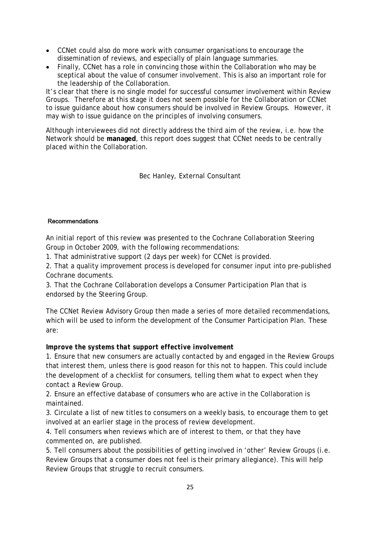- CCNet could also do more work with consumer organisations to encourage the dissemination of reviews, and especially of plain language summaries.
- Finally, CCNet has a role in convincing those within the Collaboration who may be sceptical about the value of consumer involvement. This is also an important role for the leadership of the Collaboration.

It's clear that there is no single model for successful consumer involvement within Review Groups. Therefore at this stage it does not seem possible for the Collaboration or CCNet to issue guidance about *how* consumers should be involved in Review Groups. However, it may wish to issue guidance on the *principles* of involving consumers.

Although interviewees did not directly address the third aim of the review, i.e. how the Network should be **managed**, this report does suggest that CCNet needs to be centrally placed within the Collaboration.

Bec Hanley, External Consultant

#### Recommendations

An initial report of this review was presented to the Cochrane Collaboration Steering Group in October 2009, with the following recommendations:

1. That administrative support (2 days per week) for CCNet is provided.

2. That a quality improvement process is developed for consumer input into pre-published Cochrane documents.

3. That the Cochrane Collaboration develops a Consumer Participation Plan that is endorsed by the Steering Group.

The CCNet Review Advisory Group then made a series of more detailed recommendations, which will be used to inform the development of the Consumer Participation Plan. These are:

# *Improve the systems that support effective involvement*

1. Ensure that new consumers are actually contacted by and engaged in the Review Groups that interest them, unless there is good reason for this not to happen. This could include the development of a checklist for consumers, telling them what to expect when they contact a Review Group.

2. Ensure an effective database of consumers who are active in the Collaboration is maintained.

3. Circulate a list of new titles to consumers on a weekly basis, to encourage them to get involved at an earlier stage in the process of review development.

4. Tell consumers when reviews which are of interest to them, or that they have commented on, are published.

5. Tell consumers about the possibilities of getting involved in 'other' Review Groups (i.e. Review Groups that a consumer does not feel is their primary allegiance). This will help Review Groups that struggle to recruit consumers.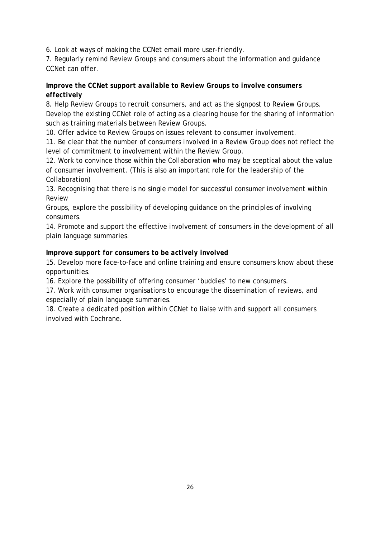6. Look at ways of making the CCNet email more user-friendly.

7. Regularly remind Review Groups and consumers about the information and guidance CCNet can offer.

# *Improve the CCNet support available to Review Groups to involve consumers effectively*

8. Help Review Groups to recruit consumers, and act as the signpost to Review Groups. Develop the existing CCNet role of acting as a clearing house for the sharing of information such as training materials between Review Groups.

10. Offer advice to Review Groups on issues relevant to consumer involvement.

11. Be clear that the number of consumers involved in a Review Group does not reflect the level of commitment to involvement within the Review Group.

12. Work to convince those within the Collaboration who may be sceptical about the value of consumer involvement. (This is also an important role for the leadership of the Collaboration)

13. Recognising that there is no single model for successful consumer involvement within Review

Groups, explore the possibility of developing guidance on the *principles* of involving consumers.

14. Promote and support the effective involvement of consumers in the development of all plain language summaries.

# *Improve support for consumers to be actively involved*

15. Develop more face-to-face and online training and ensure consumers know about these opportunities.

16. Explore the possibility of offering consumer 'buddies' to new consumers.

17. Work with consumer organisations to encourage the dissemination of reviews, and especially of plain language summaries.

18. Create a dedicated position within CCNet to liaise with and support all consumers involved with Cochrane.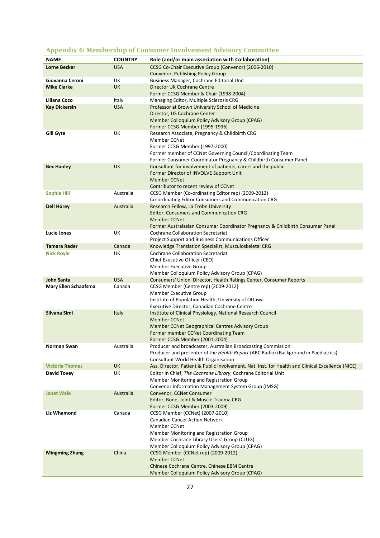| . .<br><b>NAME</b>                    | <b>COUNTRY</b>  | Role (and/or main association with Collaboration)                                                        |
|---------------------------------------|-----------------|----------------------------------------------------------------------------------------------------------|
| <b>Lorne Becker</b>                   | <b>USA</b>      | CCSG Co-Chair Executive Group (Convenor) (2006-2010)                                                     |
|                                       |                 | Convenor, Publishing Policy Group                                                                        |
| Giovanna Ceroni<br><b>Mike Clarke</b> | UK<br><b>UK</b> | Business Manager, Cochrane Editorial Unit<br>Director UK Cochrane Centre                                 |
|                                       |                 | Former CCSG Member & Chair (1998-2004)                                                                   |
| Liliana Coco                          | Italy           | Managing Editor, Multiple Sclerosis CRG                                                                  |
| <b>Kay Dickersin</b>                  | <b>USA</b>      | Professor at Brown University School of Medicine                                                         |
|                                       |                 | Director, US Cochrane Center                                                                             |
|                                       |                 | Member Colloquium Policy Advisory Group (CPAG)                                                           |
| <b>Gill Gyte</b>                      | UK              | Former CCSG Member (1995-1996)<br>Research Associate, Pregnancy & Childbirth CRG                         |
|                                       |                 | <b>Member CCNet</b>                                                                                      |
|                                       |                 | Former CCSG Member (1997-2000)                                                                           |
|                                       |                 | Former member of CCNet Governing Council/Coordinating Team                                               |
|                                       |                 | Former Consumer Coordinator Pregnancy & Childbirth Consumer Panel                                        |
| <b>Bec Hanley</b>                     | <b>UK</b>       | Consultant for involvement of patients, carers and the public<br>Former Director of INVOLVE Support Unit |
|                                       |                 | <b>Member CCNet</b>                                                                                      |
|                                       |                 | Contributor to recent review of CCNet                                                                    |
| <b>Sophie Hill</b>                    | Australia       | CCSG Member (Co-ordinating Editor rep) (2009-2012)                                                       |
|                                       |                 | Co-ordinating Editor Consumers and Communication CRG                                                     |
| <b>Dell Horey</b>                     | Australia       | Research Fellow, La Trobe University                                                                     |
|                                       |                 | <b>Editor, Consumers and Communication CRG</b><br><b>Member CCNet</b>                                    |
|                                       |                 | Former Australasian Consumer Coordinator Pregnancy & Childbirth Consumer Panel                           |
| <b>Lucie Jones</b>                    | UK              | <b>Cochrane Collaboration Secretariat</b>                                                                |
|                                       |                 | Project Support and Business Communications Officer                                                      |
| <b>Tamara Rader</b>                   | Canada          | Knowledge Translation Specialist, Musculoskeletal CRG                                                    |
| <b>Nick Royle</b>                     | UK              | <b>Cochrane Collaboration Secretariat</b><br>Chief Executive Officer (CEO)                               |
|                                       |                 | Member Executive Group                                                                                   |
|                                       |                 | Member Colloquium Policy Advisory Group (CPAG)                                                           |
| <b>John Santa</b>                     | <b>USA</b>      | Consumers' Union Director, Health Ratings Center, Consumer Reports                                       |
| Mary Ellen Schaafsma                  | Canada          | CCSG Member (Centre rep) (2009-2012)                                                                     |
|                                       |                 | Member Executive Group                                                                                   |
|                                       |                 | Institute of Population Health, University of Ottawa<br>Executive Director, Canadian Cochrane Centre     |
| Silvana Simi                          | Italy           | Institute of Clinical Physiology, National Research Council                                              |
|                                       |                 | <b>Member CCNet</b>                                                                                      |
|                                       |                 | Member CCNet Geographical Centres Advisory Group                                                         |
|                                       |                 | Former member CCNet Coordinating Team                                                                    |
| Norman Swan                           | Australia       | Former CCSG Member (2001-2004)<br>Producer and broadcaster, Australian Broadcasting Commission           |
|                                       |                 | Producer and presenter of the Health Report (ABC Radio) (Background in Paediatrics)                      |
|                                       |                 | Consultant World Health Organisation                                                                     |
| <b>Victoria Thomas</b>                | <b>UK</b>       | Ass. Director, Patient & Public Involvement, Nat. Inst. for Health and Clinical Excellence (NICE)        |
| David Tovey                           | UK              | Editor in Chief, The Cochrane Library, Cochrane Editorial Unit                                           |
|                                       |                 | Member Monitoring and Registration Group                                                                 |
| <b>Janet Wale</b>                     | Australia       | Convenor Information Management System Group (IMSG)<br>Convenor, CCNet Consumer                          |
|                                       |                 | Editor, Bone, Joint & Muscle Trauma CRG                                                                  |
|                                       |                 | Former CCSG Member (2003-2009)                                                                           |
| <b>Liz Whamond</b>                    | Canada          | CCSG Member (CCNet) (2007-2010)                                                                          |
|                                       |                 | <b>Canadian Cancer Action Network</b>                                                                    |
|                                       |                 | <b>Member CCNet</b>                                                                                      |
|                                       |                 | Member Monitoring and Registration Group<br>Member Cochrane Library Users' Group (CLUG)                  |
|                                       |                 | Member Colloquium Policy Advisory Group (CPAG)                                                           |
| <b>Mingming Zhang</b>                 | China           | CCSG Member (CCNet rep) (2009-2012)                                                                      |
|                                       |                 | <b>Member CCNet</b>                                                                                      |
|                                       |                 | Chinese Cochrane Centre, Chinese EBM Centre                                                              |
|                                       |                 | Member Colloquium Policy Advisory Group (CPAG)                                                           |

# <span id="page-26-0"></span>**Appendix 4: Membership of Consumer Involvement Advisory Committee**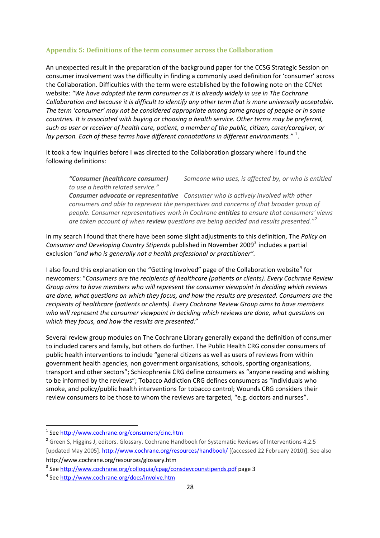#### <span id="page-27-0"></span>**Appendix 5: Definitions of the term consumer across the Collaboration**

An unexpected result in the preparation of the background paper for the CCSG Strategic Session on consumer involvement was the difficulty in finding a commonly used definition for 'consumer' across the Collaboration. Difficulties with the term were established by the following note on the CCNet website: *"We have adopted the term consumer as it is already widely in use in The Cochrane Collaboration and because it is difficult to identify any other term that is more universally acceptable. The term 'consumer' may not be considered appropriate among some groups of people or in some countries. It is associated with buying or choosing a health service. Other terms may be preferred, such as user or receiver of health care, patient, a member of the public, citizen, carer/caregiver, or lay person. Each of these terms have different connotations in different environments."* [1](#page-27-0) .

It took a few inquiries before I was directed to the Collaboration glossary where I found the following definitions:

*"Consumer (healthcare consumer) Someone who uses, is affected by, or who is entitled to use a health related service."* 

*Consumer advocate or representative Consumer who is actively involved with other consumers and able to represent the perspectives and concerns of that broader group of people. Consumer representatives work in Cochrane entities to ensure that consumers' views are taken account of when review questions are being decided and results presented."[2](#page-27-0)* 

In my search I found that there have been some slight adjustments to this definition, The *Policy on Consumer and Developing Country Stipends* published in November 2009[3](#page-27-0) includes a partial exclusion "*and who is generally not a health professional or practitioner".*

I also found this explanation on the "Getting Involved" page of the Collaboration website<sup>[4](#page-27-0)</sup> for newcomers: "*Consumers are the recipients of healthcare (patients or clients). Every Cochrane Review Group aims to have members who will represent the consumer viewpoint in deciding which reviews are done, what questions on which they focus, and how the results are presented. Consumers are the recipients of healthcare (patients or clients). Every Cochrane Review Group aims to have members who will represent the consumer viewpoint in deciding which reviews are done, what questions on which they focus, and how the results are presented*."

Several review group modules on The Cochrane Library generally expand the definition of consumer to included carers and family, but others do further. The Public Health CRG consider consumers of public health interventions to include "general citizens as well as users of reviews from within government health agencies, non government organisations, schools, sporting organisations, transport and other sectors"; Schizophrenia CRG define consumers as "anyone reading and wishing to be informed by the reviews"; Tobacco Addiction CRG defines consumers as "individuals who smoke, and policy/public health interventions for tobacco control; Wounds CRG considers their review consumers to be those to whom the reviews are targeted, "e.g. doctors and nurses".

<sup>2</sup> Green S, Higgins J, editors. Glossary. Cochrane Handbook for Systematic Reviews of Interventions 4.2.5 [updated May 2005]. <http://www.cochrane.org/resources/handbook/> [(accessed 22 February 2010)]. See also http://www.cochrane.org/resources/glossary.htm

<sup>&</sup>lt;sup>1</sup> See <http://www.cochrane.org/consumers/cinc.htm>

<sup>&</sup>lt;sup>3</sup> See <http://www.cochrane.org/colloquia/cpag/consdevcounstipends.pdf> page 3

<sup>4</sup> See <http://www.cochrane.org/docs/involve.htm>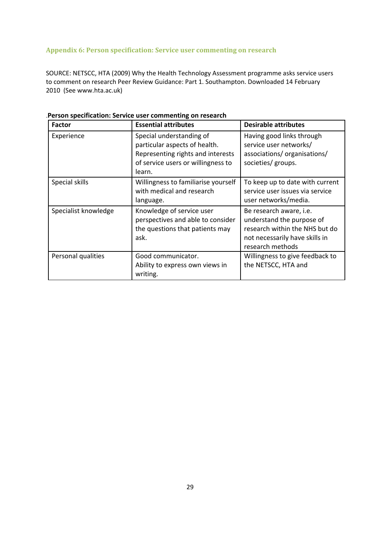# <span id="page-28-0"></span>**Appendix 6: Person specification: Service user commenting on research**

SOURCE: NETSCC, HTA (2009) Why the Health Technology Assessment programme asks service users to comment on research Peer Review Guidance: Part 1. Southampton. Downloaded 14 February 2010 (See www.hta.ac.uk)

| Factor               | <b>Essential attributes</b>                                                                                                                    | <b>Desirable attributes</b>                                                                                                                  |
|----------------------|------------------------------------------------------------------------------------------------------------------------------------------------|----------------------------------------------------------------------------------------------------------------------------------------------|
| Experience           | Special understanding of<br>particular aspects of health.<br>Representing rights and interests<br>of service users or willingness to<br>learn. | Having good links through<br>service user networks/<br>associations/organisations/<br>societies/ groups.                                     |
| Special skills       | Willingness to familiarise yourself<br>with medical and research<br>language.                                                                  | To keep up to date with current<br>service user issues via service<br>user networks/media.                                                   |
| Specialist knowledge | Knowledge of service user<br>perspectives and able to consider<br>the questions that patients may<br>ask.                                      | Be research aware, i.e.<br>understand the purpose of<br>research within the NHS but do<br>not necessarily have skills in<br>research methods |
| Personal qualities   | Good communicator.<br>Ability to express own views in<br>writing.                                                                              | Willingness to give feedback to<br>the NETSCC, HTA and                                                                                       |

#### .**Person specification: Service user commenting on research**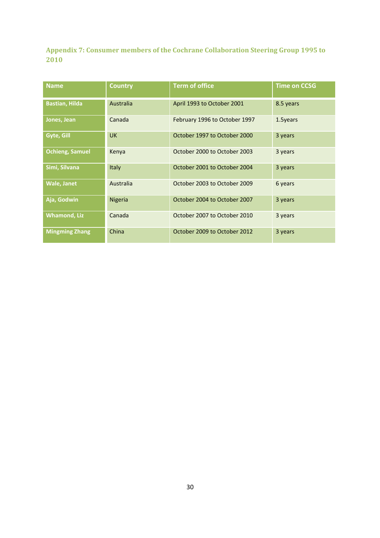<span id="page-29-0"></span>**Appendix 7: Consumer members of the Cochrane Collaboration Steering Group 1995 to 2010**

| <b>Name</b>            | <b>Country</b> | <b>Term of office</b>         | <b>Time on CCSG</b> |
|------------------------|----------------|-------------------------------|---------------------|
| <b>Bastian, Hilda</b>  | Australia      | April 1993 to October 2001    | 8.5 years           |
| Jones, Jean            | Canada         | February 1996 to October 1997 | 1.5years            |
| Gyte, Gill             | <b>UK</b>      | October 1997 to October 2000  | 3 years             |
| <b>Ochieng, Samuel</b> | Kenya          | October 2000 to October 2003  | 3 years             |
| Simi, Silvana          | Italy          | October 2001 to October 2004  | 3 years             |
| <b>Wale, Janet</b>     | Australia      | October 2003 to October 2009  | 6 years             |
| Aja, Godwin            | <b>Nigeria</b> | October 2004 to October 2007  | 3 years             |
| <b>Whamond, Liz</b>    | Canada         | October 2007 to October 2010  | 3 years             |
| <b>Mingming Zhang</b>  | China          | October 2009 to October 2012  | 3 years             |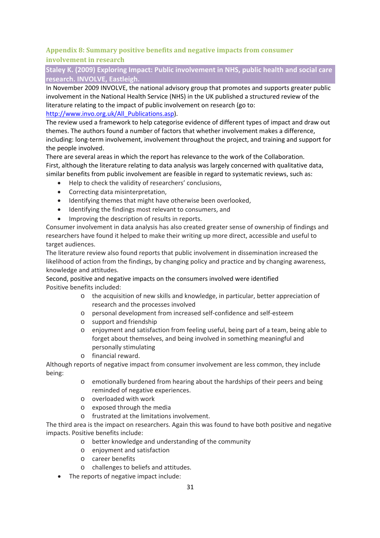# <span id="page-30-0"></span>**Appendix 8: Summary positive benefits and negative impacts from consumer involvement in research**

# **Staley K. (2009) Exploring Impact: Public involvement in NHS, public health and social care research. INVOLVE, Eastleigh.**

In November 2009 INVOLVE, the national advisory group that promotes and supports greater public involvement in the National Health Service (NHS) in the UK published a structured review of the literature relating to the impact of public involvement on research (go to: [http://www.invo.org.uk/All\\_Publications.asp\)](http://www.invo.org.uk/All_Publications.asp).

The review used a framework to help categorise evidence of different types of impact and draw out themes. The authors found a number of factors that whether involvement makes a difference, including: long‐term involvement, involvement throughout the project, and training and support for the people involved.

There are several areas in which the report has relevance to the work of the Collaboration. First, although the literature relating to data analysis was largely concerned with qualitative data, similar benefits from public involvement are feasible in regard to systematic reviews, such as:

- Help to check the validity of researchers' conclusions,
- Correcting data misinterpretation,
- Identifying themes that might have otherwise been overlooked,
- Identifying the findings most relevant to consumers, and
- Improving the description of results in reports.

Consumer involvement in data analysis has also created greater sense of ownership of findings and researchers have found it helped to make their writing up more direct, accessible and useful to target audiences.

The literature review also found reports that public involvement in dissemination increased the likelihood of action from the findings, by changing policy and practice and by changing awareness, knowledge and attitudes.

Second, positive and negative impacts on the consumers involved were identified Positive benefits included:

- o the acquisition of new skills and knowledge, in particular, better appreciation of research and the processes involved
- o personal development from increased self‐confidence and self‐esteem
- o support and friendship
- o enjoyment and satisfaction from feeling useful, being part of a team, being able to forget about themselves, and being involved in something meaningful and personally stimulating
- o financial reward.

Although reports of negative impact from consumer involvement are less common, they include being:

- o emotionally burdened from hearing about the hardships of their peers and being reminded of negative experiences.
- o overloaded with work
- o exposed through the media
- o frustrated at the limitations involvement.

The third area is the impact on researchers. Again this was found to have both positive and negative impacts. Positive benefits include:

- o better knowledge and understanding of the community
- o enjoyment and satisfaction
- o career benefits
- o challenges to beliefs and attitudes.
- The reports of negative impact include: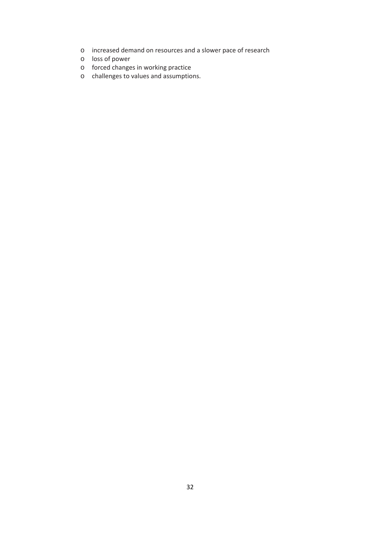- o increased demand on resources and a slower pace of research
- o loss of power
- o forced changes in working practice
- o challenges to values and assumptions.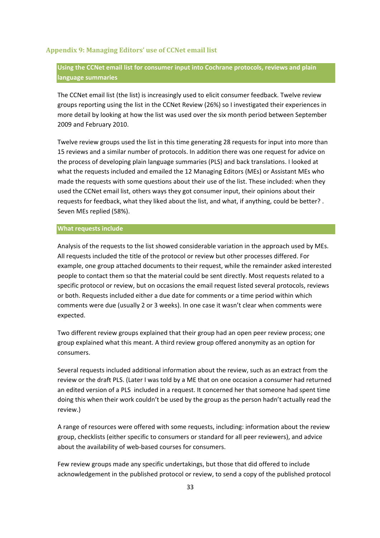#### <span id="page-32-0"></span>**Appendix 9: Managing Editors' use of CCNet email list**

# **Using the CCNet email list for consumer input into Cochrane protocols, reviews and plain language summaries**

The CCNet email list (the list) is increasingly used to elicit consumer feedback. Twelve review groups reporting using the list in the CCNet Review (26%) so I investigated their experiences in more detail by looking at how the list was used over the six month period between September 2009 and February 2010.

Twelve review groups used the list in this time generating 28 requests for input into more than 15 reviews and a similar number of protocols. In addition there was one request for advice on the process of developing plain language summaries (PLS) and back translations. I looked at what the requests included and emailed the 12 Managing Editors (MEs) or Assistant MEs who made the requests with some questions about their use of the list. These included: when they used the CCNet email list, others ways they got consumer input, their opinions about their requests for feedback, what they liked about the list, and what, if anything, could be better? . Seven MEs replied (58%).

#### **What requests include**

Analysis of the requests to the list showed considerable variation in the approach used by MEs. All requests included the title of the protocol or review but other processes differed. For example, one group attached documents to their request, while the remainder asked interested people to contact them so that the material could be sent directly. Most requests related to a specific protocol or review, but on occasions the email request listed several protocols, reviews or both. Requests included either a due date for comments or a time period within which comments were due (usually 2 or 3 weeks). In one case it wasn't clear when comments were expected.

Two different review groups explained that their group had an open peer review process; one group explained what this meant. A third review group offered anonymity as an option for consumers.

Several requests included additional information about the review, such as an extract from the review or the draft PLS. (Later I was told by a ME that on one occasion a consumer had returned an edited version of a PLS included in a request. It concerned her that someone had spent time doing this when their work couldn't be used by the group as the person hadn't actually read the review.)

A range of resources were offered with some requests, including: information about the review group, checklists (either specific to consumers or standard for all peer reviewers), and advice about the availability of web‐based courses for consumers.

Few review groups made any specific undertakings, but those that did offered to include acknowledgement in the published protocol or review, to send a copy of the published protocol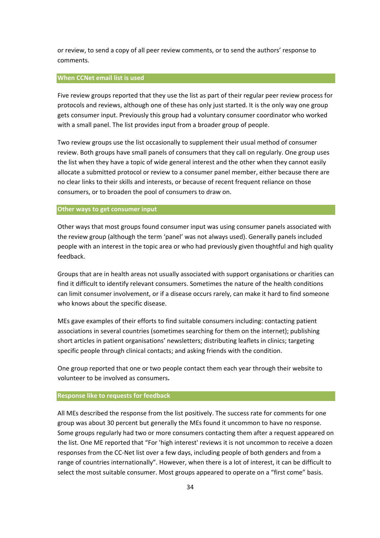or review, to send a copy of all peer review comments, or to send the authors' response to comments.

#### **When CCNet email list is used**

Five review groups reported that they use the list as part of their regular peer review process for protocols and reviews, although one of these has only just started. It is the only way one group gets consumer input. Previously this group had a voluntary consumer coordinator who worked with a small panel. The list provides input from a broader group of people.

Two review groups use the list occasionally to supplement their usual method of consumer review. Both groups have small panels of consumers that they call on regularly. One group uses the list when they have a topic of wide general interest and the other when they cannot easily allocate a submitted protocol or review to a consumer panel member, either because there are no clear links to their skills and interests, or because of recent frequent reliance on those consumers, or to broaden the pool of consumers to draw on.

#### **Other ways to get consumer input**

Other ways that most groups found consumer input was using consumer panels associated with the review group (although the term 'panel' was not always used). Generally panels included people with an interest in the topic area or who had previously given thoughtful and high quality feedback.

Groups that are in health areas not usually associated with support organisations or charities can find it difficult to identify relevant consumers. Sometimes the nature of the health conditions can limit consumer involvement, or if a disease occurs rarely, can make it hard to find someone who knows about the specific disease.

MEs gave examples of their efforts to find suitable consumers including: contacting patient associations in several countries (sometimes searching for them on the internet); publishing short articles in patient organisations' newsletters; distributing leaflets in clinics; targeting specific people through clinical contacts; and asking friends with the condition.

One group reported that one or two people contact them each year through their website to volunteer to be involved as consumers**.**

#### **Response like to requests for feedback**

All MEs described the response from the list positively. The success rate for comments for one group was about 30 percent but generally the MEs found it uncommon to have no response. Some groups regularly had two or more consumers contacting them after a request appeared on the list. One ME reported that "For 'high interest' reviews it is not uncommon to receive a dozen responses from the CC‐Net list over a few days, including people of both genders and from a range of countries internationally". However, when there is a lot of interest, it can be difficult to select the most suitable consumer. Most groups appeared to operate on a "first come" basis.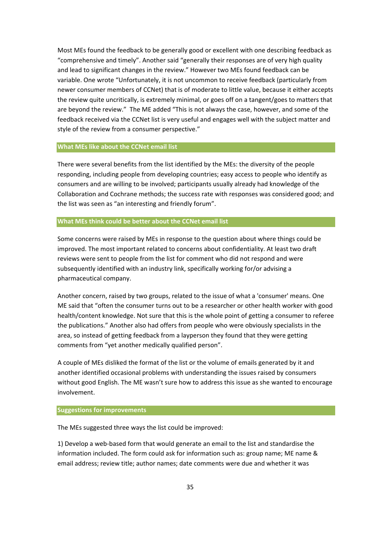Most MEs found the feedback to be generally good or excellent with one describing feedback as "comprehensive and timely". Another said "generally their responses are of very high quality and lead to significant changes in the review." However two MEs found feedback can be variable. One wrote "Unfortunately, it is not uncommon to receive feedback (particularly from newer consumer members of CCNet) that is of moderate to little value, because it either accepts the review quite uncritically, is extremely minimal, or goes off on a tangent/goes to matters that are beyond the review." The ME added "This is not always the case, however, and some of the feedback received via the CCNet list is very useful and engages well with the subject matter and style of the review from a consumer perspective."

#### **What MEs like about the CCNet email list**

There were several benefits from the list identified by the MEs: the diversity of the people responding, including people from developing countries; easy access to people who identify as consumers and are willing to be involved; participants usually already had knowledge of the Collaboration and Cochrane methods; the success rate with responses was considered good; and the list was seen as "an interesting and friendly forum".

# **What MEs think could be better about the CCNet email list**

Some concerns were raised by MEs in response to the question about where things could be improved. The most important related to concerns about confidentiality. At least two draft reviews were sent to people from the list for comment who did not respond and were subsequently identified with an industry link, specifically working for/or advising a pharmaceutical company.

Another concern, raised by two groups, related to the issue of what a 'consumer' means. One ME said that "often the consumer turns out to be a researcher or other health worker with good health/content knowledge. Not sure that this is the whole point of getting a consumer to referee the publications." Another also had offers from people who were obviously specialists in the area, so instead of getting feedback from a layperson they found that they were getting comments from "yet another medically qualified person".

A couple of MEs disliked the format of the list or the volume of emails generated by it and another identified occasional problems with understanding the issues raised by consumers without good English. The ME wasn't sure how to address this issue as she wanted to encourage involvement.

#### **Suggestions for improvements**

The MEs suggested three ways the list could be improved:

1) Develop a web‐based form that would generate an email to the list and standardise the information included. The form could ask for information such as: group name; ME name & email address; review title; author names; date comments were due and whether it was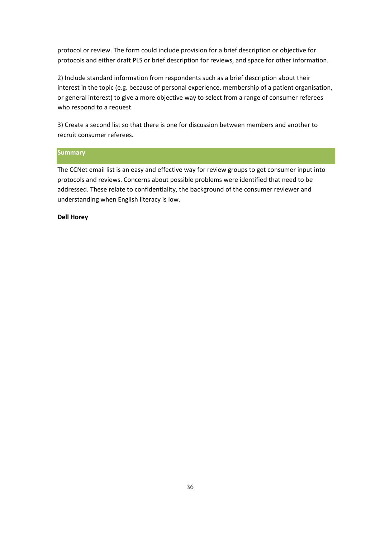protocol or review. The form could include provision for a brief description or objective for protocols and either draft PLS or brief description for reviews, and space for other information.

2) Include standard information from respondents such as a brief description about their interest in the topic (e.g. because of personal experience, membership of a patient organisation, or general interest) to give a more objective way to select from a range of consumer referees who respond to a request.

3) Create a second list so that there is one for discussion between members and another to recruit consumer referees.

#### **Summary**

The CCNet email list is an easy and effective way for review groups to get consumer input into protocols and reviews. Concerns about possible problems were identified that need to be addressed. These relate to confidentiality, the background of the consumer reviewer and understanding when English literacy is low.

#### **Dell Horey**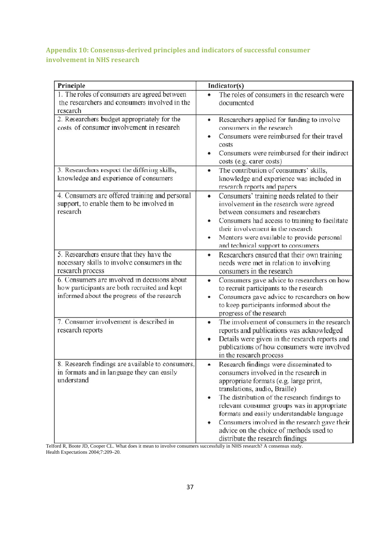# <span id="page-36-0"></span>**Appendix 10: Consensus‐derived principles and indicators of successful consumer involvement in NHS research**

| Principle                                                                                      | Indicator(s)                                                                                       |
|------------------------------------------------------------------------------------------------|----------------------------------------------------------------------------------------------------|
| 1. The roles of consumers are agreed between                                                   | The roles of consumers in the research were                                                        |
| the researchers and consumers involved in the                                                  | documented                                                                                         |
| research                                                                                       |                                                                                                    |
| 2. Researchers budget appropriately for the<br>costs of consumer involvement in research       | Researchers applied for funding to involve<br>٠                                                    |
|                                                                                                | consumers in the research<br>Consumers were reimbursed for their travel                            |
|                                                                                                | costs                                                                                              |
|                                                                                                | Consumers were reimbursed for their indirect                                                       |
|                                                                                                | costs (e.g. carer costs)                                                                           |
| 3. Researchers respect the differing skills,                                                   | The contribution of consumers' skills,<br>$\bullet$                                                |
| knowledge and experience of consumers                                                          | knowledge and experience was included in                                                           |
|                                                                                                | research reports and papers                                                                        |
| 4. Consumers are offered training and personal<br>support, to enable them to be involved in    | Consumers' training needs related to their<br>$\bullet$<br>involvement in the research were agreed |
| research                                                                                       | between consumers and researchers                                                                  |
|                                                                                                | Consumers had access to training to facilitate                                                     |
|                                                                                                | their involvement in the research                                                                  |
|                                                                                                | Mentors were available to provide personal                                                         |
|                                                                                                | and technical support to consumers                                                                 |
| 5. Researchers ensure that they have the                                                       | Researchers ensured that their own training                                                        |
| necessary skills to involve consumers in the                                                   | needs were met in relation to involving                                                            |
| research process                                                                               | consumers in the research                                                                          |
| 6. Consumers are involved in decisions about<br>how participants are both recruited and kept   | Consumers gave advice to researchers on how<br>$\bullet$                                           |
| informed about the progress of the research                                                    | to recruit participants to the research<br>Consumers gave advice to researchers on how<br>٠        |
|                                                                                                | to keep participants informed about the                                                            |
|                                                                                                | progress of the research                                                                           |
| 7. Consumer involvement is described in                                                        | The involvement of consumers in the research<br>$\bullet$                                          |
| research reports                                                                               | reports and publications was acknowledged                                                          |
|                                                                                                | Details were given in the research reports and                                                     |
|                                                                                                | publications of how consumers were involved                                                        |
|                                                                                                | in the research process                                                                            |
| 8. Research findings are available to consumers,<br>in formats and in language they can easily | Research findings were disseminated to<br>consumers involved in the research in                    |
| understand                                                                                     | appropriate formats (e.g. large print,                                                             |
|                                                                                                | translations, audio, Braille)                                                                      |
|                                                                                                | The distribution of the research findings to                                                       |
|                                                                                                | relevant consumer groups was in appropriate                                                        |
|                                                                                                | formats and easily understandable language                                                         |
|                                                                                                | Consumers involved in the research gave their                                                      |
|                                                                                                | advice on the choice of methods used to<br>distribute the research findings                        |
|                                                                                                |                                                                                                    |

Telford R, Boote JD, Cooper CL. What does it mean to involve consumers successfully in NHS research? A consensus study. Health Expectations 2004;7:209–20.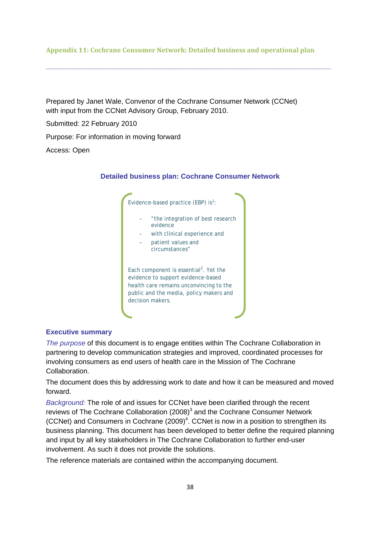#### <span id="page-37-0"></span>**Appendix 11: Cochrane Consumer Network: Detailed business and operational plan**

**\_\_\_\_\_\_\_\_\_\_\_\_\_\_\_\_\_\_\_\_\_\_\_\_\_\_\_\_\_\_\_\_\_\_\_\_\_\_\_\_\_\_\_\_\_\_\_\_\_\_\_\_\_\_\_\_\_\_\_\_\_\_\_\_\_\_\_\_\_\_\_\_\_** 

Prepared by Janet Wale, Convenor of the Cochrane Consumer Network (CCNet) with input from the CCNet Advisory Group, February 2010.

Submitted: 22 February 2010

Purpose: For information in moving forward

Access: Open

#### **Detailed business plan: Cochrane Consumer Network**



# **Executive summary**

*The purpose* of this document is to engage entities within The Cochrane Collaboration in partnering to develop communication strategies and improved, coordinated processes for involving consumers as end users of health care in the Mission of The Cochrane Collaboration.

The document does this by addressing work to date and how it can be measured and moved forward.

*Background:* The role of and issues for CCNet have been clarified through the recent reviews of The Cochrane Collaboration  $(2008)^3$  and the Cochrane Consumer Network (CCNet) and Consumers in Cochrane  $(2009)^4$ . CCNet is now in a position to strengthen its business planning. This document has been developed to better define the required planning and input by all key stakeholders in The Cochrane Collaboration to further end-user involvement. As such it does not provide the solutions.

The reference materials are contained within the accompanying document.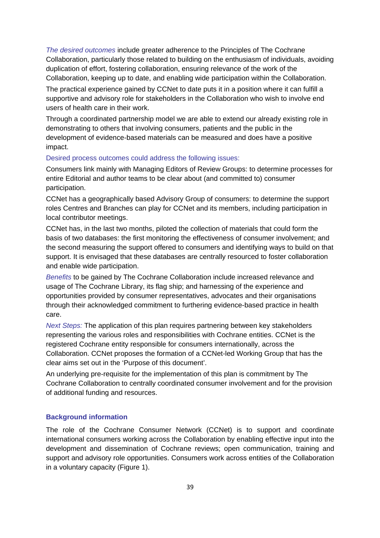*The desired outcomes* include greater adherence to the Principles of The Cochrane Collaboration, particularly those related to building on the enthusiasm of individuals, avoiding duplication of effort, fostering collaboration, ensuring relevance of the work of the Collaboration, keeping up to date, and enabling wide participation within the Collaboration.

The practical experience gained by CCNet to date puts it in a position where it can fulfill a supportive and advisory role for stakeholders in the Collaboration who wish to involve end users of health care in their work.

Through a coordinated partnership model we are able to extend our already existing role in demonstrating to others that involving consumers, patients and the public in the development of evidence-based materials can be measured and does have a positive impact.

#### Desired process outcomes could address the following issues:

Consumers link mainly with Managing Editors of Review Groups: to determine processes for entire Editorial and author teams to be clear about (and committed to) consumer participation.

CCNet has a geographically based Advisory Group of consumers: to determine the support roles Centres and Branches can play for CCNet and its members, including participation in local contributor meetings.

CCNet has, in the last two months, piloted the collection of materials that could form the basis of two databases: the first monitoring the effectiveness of consumer involvement; and the second measuring the support offered to consumers and identifying ways to build on that support. It is envisaged that these databases are centrally resourced to foster collaboration and enable wide participation.

*Benefits* to be gained by The Cochrane Collaboration include increased relevance and usage of The Cochrane Library, its flag ship; and harnessing of the experience and opportunities provided by consumer representatives, advocates and their organisations through their acknowledged commitment to furthering evidence-based practice in health care.

*Next Steps:* The application of this plan requires partnering between key stakeholders representing the various roles and responsibilities with Cochrane entities. CCNet is the registered Cochrane entity responsible for consumers internationally, across the Collaboration. CCNet proposes the formation of a CCNet-led Working Group that has the clear aims set out in the 'Purpose of this document'.

An underlying pre-requisite for the implementation of this plan is commitment by The Cochrane Collaboration to centrally coordinated consumer involvement and for the provision of additional funding and resources.

#### **Background information**

The role of the Cochrane Consumer Network (CCNet) is to support and coordinate international consumers working across the Collaboration by enabling effective input into the development and dissemination of Cochrane reviews; open communication, training and support and advisory role opportunities. Consumers work across entities of the Collaboration in a voluntary capacity (Figure 1).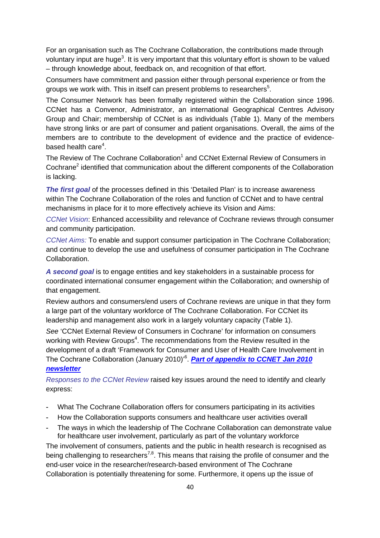For an organisation such as The Cochrane Collaboration, the contributions made through voluntary input are huge<sup>3</sup>. It is very important that this voluntary effort is shown to be valued – through knowledge about, feedback on, and recognition of that effort.

Consumers have commitment and passion either through personal experience or from the groups we work with. This in itself can present problems to researchers<sup>5</sup>.

The Consumer Network has been formally registered within the Collaboration since 1996. CCNet has a Convenor, Administrator, an international Geographical Centres Advisory Group and Chair; membership of CCNet is as individuals (Table 1). Many of the members have strong links or are part of consumer and patient organisations. Overall, the aims of the members are to contribute to the development of evidence and the practice of evidencebased health care<sup>4</sup>.

The Review of The Cochrane Collaboration<sup>1</sup> and CCNet External Review of Consumers in Cochrane<sup>2</sup> identified that communication about the different components of the Collaboration is lacking.

*The first goal* of the processes defined in this 'Detailed Plan' is to increase awareness within The Cochrane Collaboration of the roles and function of CCNet and to have central mechanisms in place for it to more effectively achieve its Vision and Aims:

*CCNet Vision*: Enhanced accessibility and relevance of Cochrane reviews through consumer and community participation.

*CCNet Aims:* To enable and support consumer participation in The Cochrane Collaboration; and continue to develop the use and usefulness of consumer participation in The Cochrane Collaboration.

*A second goal* is to engage entities and key stakeholders in a sustainable process for coordinated international consumer engagement within the Collaboration; and ownership of that engagement.

Review authors and consumers/end users of Cochrane reviews are unique in that they form a large part of the voluntary workforce of The Cochrane Collaboration. For CCNet its leadership and management also work in a largely voluntary capacity (Table 1).

*See* 'CCNet External Review of Consumers in Cochrane' for information on consumers working with Review Groups<sup>4</sup>. The recommendations from the Review resulted in the development of a draft 'Framework for Consumer and User of Health Care Involvement in The Cochrane Collaboration (January 2010)'<sup>6</sup> . *Part of appendix to CCNET Jan 2010 newsletter*

*Responses to the CCNet Review* raised key issues around the need to identify and clearly express:

- What The Cochrane Collaboration offers for consumers participating in its activities
- How the Collaboration supports consumers and healthcare user activities overall
- The ways in which the leadership of The Cochrane Collaboration can demonstrate value for healthcare user involvement, particularly as part of the voluntary workforce

The involvement of consumers, patients and the public in health research is recognised as being challenging to researchers<sup>7,8</sup>. This means that raising the profile of consumer and the end-user voice in the researcher/research-based environment of The Cochrane Collaboration is potentially threatening for some. Furthermore, it opens up the issue of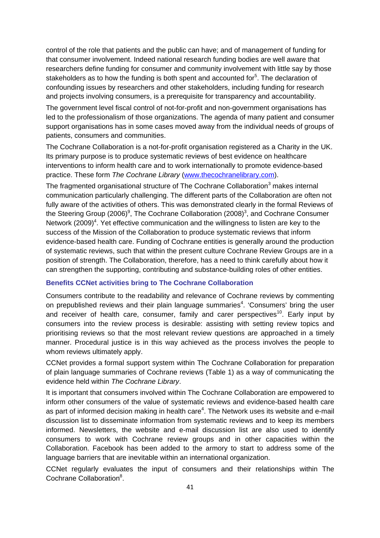control of the role that patients and the public can have; and of management of funding for that consumer involvement. Indeed national research funding bodies are well aware that researchers define funding for consumer and community involvement with little say by those stakeholders as to how the funding is both spent and accounted for $5$ . The declaration of confounding issues by researchers and other stakeholders, including funding for research and projects involving consumers, is a prerequisite for transparency and accountability.

The government level fiscal control of not-for-profit and non-government organisations has led to the professionalism of those organizations. The agenda of many patient and consumer support organisations has in some cases moved away from the individual needs of groups of patients, consumers and communities.

The Cochrane Collaboration is a not-for-profit organisation registered as a Charity in the UK. Its primary purpose is to produce systematic reviews of best evidence on healthcare interventions to inform health care and to work internationally to promote evidence-based practice. These form *The Cochrane Library* [\(www.thecochranelibrary.com\)](http://www.thecochranelibrary.com/).

The fragmented organisational structure of The Cochrane Collaboration $^3$  makes internal communication particularly challenging. The different parts of the Collaboration are often not fully aware of the activities of others. This was demonstrated clearly in the formal Reviews of the Steering Group (2006)<sup>9</sup>, The Cochrane Collaboration (2008)<sup>3</sup>, and Cochrane Consumer Network (2009)<sup>4</sup>. Yet effective communication and the willingness to listen are key to the success of the Mission of the Collaboration to produce systematic reviews that inform evidence-based health care. Funding of Cochrane entities is generally around the production of systematic reviews, such that within the present culture Cochrane Review Groups are in a position of strength. The Collaboration, therefore, has a need to think carefully about how it can strengthen the supporting, contributing and substance-building roles of other entities.

#### **Benefits CCNet activities bring to The Cochrane Collaboration**

Consumers contribute to the readability and relevance of Cochrane reviews by commenting on prepublished reviews and their plain language summaries<sup>4</sup>. 'Consumers' bring the user and receiver of health care, consumer, family and carer perspectives<sup>10</sup>. Early input by consumers into the review process is desirable: assisting with setting review topics and prioritising reviews so that the most relevant review questions are approached in a timely manner. Procedural justice is in this way achieved as the process involves the people to whom reviews ultimately apply.

CCNet provides a formal support system within The Cochrane Collaboration for preparation of plain language summaries of Cochrane reviews (Table 1) as a way of communicating the evidence held within *The Cochrane Library*.

It is important that consumers involved within The Cochrane Collaboration are empowered to inform other consumers of the value of systematic reviews and evidence-based health care as part of informed decision making in health care<sup>4</sup>. The Network uses its website and e-mail discussion list to disseminate information from systematic reviews and to keep its members informed. Newsletters, the website and e-mail discussion list are also used to identify consumers to work with Cochrane review groups and in other capacities within the Collaboration. Facebook has been added to the armory to start to address some of the language barriers that are inevitable within an international organization.

CCNet regularly evaluates the input of consumers and their relationships within The Cochrane Collaboration<sup>8</sup>.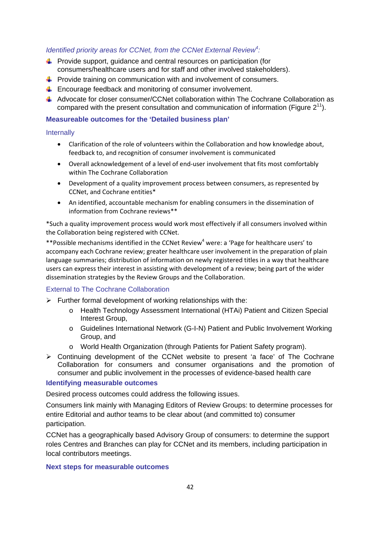# *Identified priority areas for CCNet, from the CCNet External Review<sup>4</sup> :*

- $\leftarrow$  Provide support, quidance and central resources on participation (for consumers/healthcare users and for staff and other involved stakeholders).
- $\downarrow$  Provide training on communication with and involvement of consumers.
- $\ddot{\phantom{1}}$  Encourage feedback and monitoring of consumer involvement.
- $\downarrow$  Advocate for closer consumer/CCNet collaboration within The Cochrane Collaboration as compared with the present consultation and communication of information (Figure  $2^{11}$ ).

#### **Measureable outcomes for the 'Detailed business plan'**

#### **Internally**

- Clarification of the role of volunteers within the Collaboration and how knowledge about, feedback to, and recognition of consumer involvement is communicated
- Overall acknowledgement of a level of end‐user involvement that fits most comfortably within The Cochrane Collaboration
- Development of a quality improvement process between consumers, as represented by CCNet, and Cochrane entities\*
- An identified, accountable mechanism for enabling consumers in the dissemination of information from Cochrane reviews\*\*

\*Such a quality improvement process would work most effectively if all consumers involved within the Collaboration being registered with CCNet.

\*\*Possible mechanisms identified in the CCNet Review<sup>4</sup> were: a 'Page for healthcare users' to accompany each Cochrane review; greater healthcare user involvement in the preparation of plain language summaries; distribution of information on newly registered titles in a way that healthcare users can express their interest in assisting with development of a review; being part of the wider dissemination strategies by the Review Groups and the Collaboration.

#### External to The Cochrane Collaboration

- $\triangleright$  Further formal development of working relationships with the:
	- o Health Technology Assessment International (HTAi) Patient and Citizen Special Interest Group,
	- o Guidelines International Network (G-I-N) Patient and Public Involvement Working Group, and
	- o World Health Organization (through Patients for Patient Safety program).
- $\triangleright$  Continuing development of the CCNet website to present 'a face' of The Cochrane Collaboration for consumers and consumer organisations and the promotion of consumer and public involvement in the processes of evidence-based health care

#### **Identifying measurable outcomes**

Desired process outcomes could address the following issues.

Consumers link mainly with Managing Editors of Review Groups: to determine processes for entire Editorial and author teams to be clear about (and committed to) consumer participation.

CCNet has a geographically based Advisory Group of consumers: to determine the support roles Centres and Branches can play for CCNet and its members, including participation in local contributors meetings.

#### **Next steps for measurable outcomes**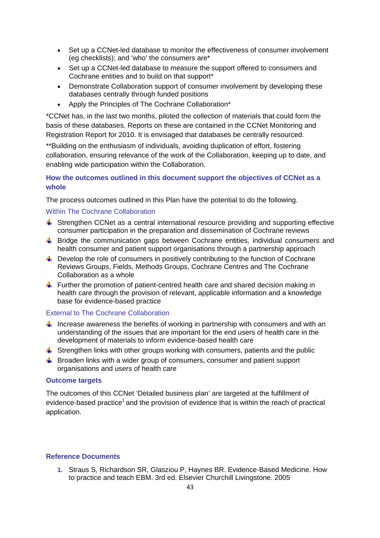- Set up a CCNet-led database to monitor the effectiveness of consumer involvement (eg checklists); and 'who' the consumers are\*
- Set up a CCNet-led database to measure the support offered to consumers and Cochrane entities and to build on that support\*
- Demonstrate Collaboration support of consumer involvement by developing these databases centrally through funded positions
- Apply the Principles of The Cochrane Collaboration\*

\*CCNet has, in the last two months, piloted the collection of materials that could form the basis of these databases. Reports on these are contained in the CCNet Monitoring and Registration Report for 2010. It is envisaged that databases be centrally resourced.

\*\*Building on the enthusiasm of individuals, avoiding duplication of effort, fostering collaboration, ensuring relevance of the work of the Collaboration, keeping up to date, and enabling wide participation within the Collaboration.

# **How the outcomes outlined in this document support the objectives of CCNet as a whole**

The process outcomes outlined in this Plan have the potential to do the following.

#### Within The Cochrane Collaboration

- Strengthen CCNet as a central international resource providing and supporting effective consumer participation in the preparation and dissemination of Cochrane reviews
- Bridge the communication gaps between Cochrane entities, individual consumers and health consumer and patient support organisations through a partnership approach
- $\ddot{\phantom{1}}$  Develop the role of consumers in positively contributing to the function of Cochrane Reviews Groups, Fields, Methods Groups, Cochrane Centres and The Cochrane Collaboration as a whole
- Further the promotion of patient-centred health care and shared decision making in health care through the provision of relevant, applicable information and a knowledge base for evidence-based practice

# External to The Cochrane Collaboration

- Increase awareness the benefits of working in partnership with consumers and with an understanding of the issues that are important for the end users of health care in the development of materials to inform evidence-based health care
- Strengthen links with other groups working with consumers, patients and the public
- $\bigcup$  Broaden links with a wider group of consumers, consumer and patient support organisations and users of health care

#### **Outcome targets**

The outcomes of this CCNet 'Detailed business plan' are targeted at the fulfillment of evidence-based practice<sup>1</sup> and the provision of evidence that is within the reach of practical application.

#### **Reference Documents**

**1.** Straus S, Richardson SR, Glasziou P, Haynes BR. Evidence-Based Medicine. How to practice and teach EBM. 3rd ed. Elsevier Churchill Livingstone. 2005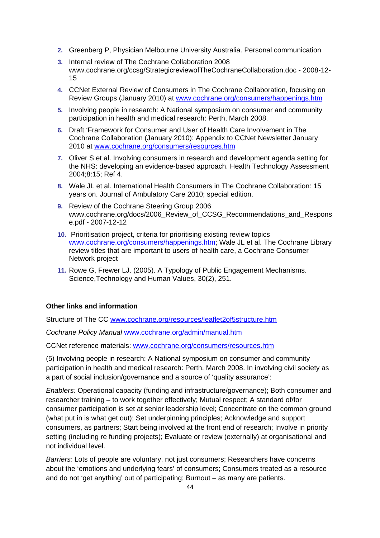- **2.** Greenberg P, Physician Melbourne University Australia. Personal communication
- **3.** Internal review of The Cochrane Collaboration 2008 www.cochrane.org/ccsg/StrategicreviewofTheCochraneCollaboration.doc - 2008-12- 15
- **4.** CCNet External Review of Consumers in The Cochrane Collaboration, focusing on Review Groups (January 2010) at [www.cochrane.org/consumers/happenings.htm](http://www.cochrane.org/consumers/happenings.htm)
- **5.** Involving people in research: A National symposium on consumer and community participation in health and medical research: Perth, March 2008.
- **6.** Draft 'Framework for Consumer and User of Health Care Involvement in The Cochrane Collaboration (January 2010): Appendix to CCNet Newsletter January 2010 at [www.cochrane.org/consumers/resources.htm](http://www.cochrane.org/consumers/resources.htm)
- **7.** Oliver S et al. Involving consumers in research and development agenda setting for the NHS: developing an evidence-based approach. Health Technology Assessment 2004;8:15; Ref 4.
- **8.** Wale JL et al. International Health Consumers in The Cochrane Collaboration: 15 years on. Journal of Ambulatory Care 2010; special edition.
- **9.** Review of the Cochrane Steering Group 2006 www.cochrane.org/docs/2006\_Review\_of\_CCSG\_Recommendations\_and\_Respons e.pdf - 2007-12-12
- **10.** Prioritisation project, criteria for prioritising existing review topics [www.cochrane.org/consumers/happenings.htm](http://www.cochrane.org/consumers/happenings.htm); Wale JL et al. The Cochrane Library review titles that are important to users of health care, a Cochrane Consumer Network project
- **11.** Rowe G, Frewer LJ. (2005). A Typology of Public Engagement Mechanisms. Science,Technology and Human Values, 30(2), 251.

# **Other links and information**

Structure of The CC [www.cochrane.org/resources/leaflet2of5structure.htm](http://www.cochrane.org/resources/leaflet2of5structure.htm)

*Cochrane Policy Manual* [www.cochrane.org/admin/manual.htm](http://www.cochrane.org/admin/manual.htm)

CCNet reference materials: [www.cochrane.org/consumers/resources.htm](http://www.cochrane.org/consumers/resources.htm)

(5) Involving people in research: A National symposium on consumer and community participation in health and medical research: Perth, March 2008. In involving civil society as a part of social inclusion/governance and a source of 'quality assurance':

*Enablers:* Operational capacity (funding and infrastructure/governance); Both consumer and researcher training – to work together effectively; Mutual respect; A standard of/for consumer participation is set at senior leadership level; Concentrate on the common ground (what put in is what get out); Set underpinning principles; Acknowledge and support consumers, as partners; Start being involved at the front end of research; Involve in priority setting (including re funding projects); Evaluate or review (externally) at organisational and not individual level.

*Barriers:* Lots of people are voluntary, not just consumers; Researchers have concerns about the 'emotions and underlying fears' of consumers; Consumers treated as a resource and do not 'get anything' out of participating; Burnout – as many are patients.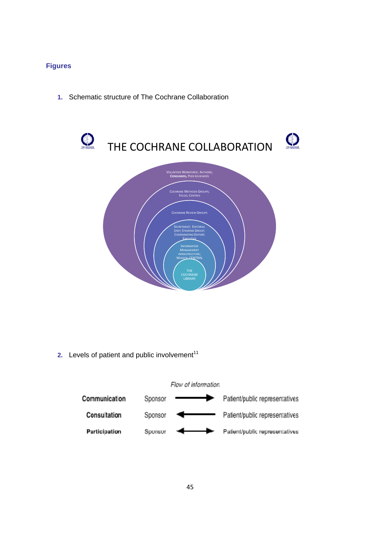# **Figures**

**1.** Schematic structure of The Cochrane Collaboration



**2.** Levels of patient and public involvement<sup>11</sup>

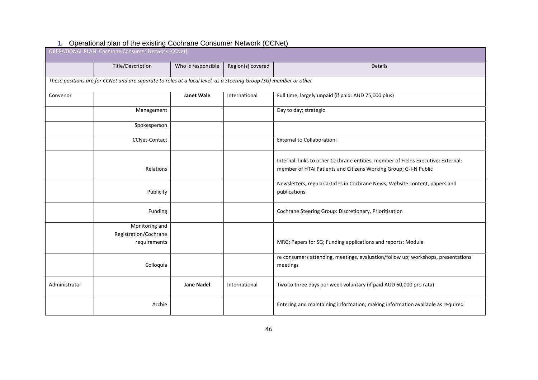| operational plan of the oxiomity occurrance concenter rictment (oorlet)<br><b>OPERATIONAL PLAN: Cochrane Consumer Network (CCNet)</b> |                                                                                                                    |                    |                   |                                                                                                                                                       |  |
|---------------------------------------------------------------------------------------------------------------------------------------|--------------------------------------------------------------------------------------------------------------------|--------------------|-------------------|-------------------------------------------------------------------------------------------------------------------------------------------------------|--|
|                                                                                                                                       | Title/Description                                                                                                  | Who is responsible | Region(s) covered | <b>Details</b>                                                                                                                                        |  |
|                                                                                                                                       | These positions are for CCNet and are separate to roles at a local level, as a Steering Group (SG) member or other |                    |                   |                                                                                                                                                       |  |
| Convenor                                                                                                                              |                                                                                                                    | <b>Janet Wale</b>  | International     | Full time, largely unpaid (if paid: AUD 75,000 plus)                                                                                                  |  |
|                                                                                                                                       | Management                                                                                                         |                    |                   | Day to day; strategic                                                                                                                                 |  |
|                                                                                                                                       | Spokesperson                                                                                                       |                    |                   |                                                                                                                                                       |  |
|                                                                                                                                       | <b>CCNet-Contact</b>                                                                                               |                    |                   | <b>External to Collaboration:</b>                                                                                                                     |  |
|                                                                                                                                       | Relations                                                                                                          |                    |                   | Internal: links to other Cochrane entities, member of Fields Executive: External:<br>member of HTAi Patients and Citizens Working Group; G-I-N Public |  |
|                                                                                                                                       | Publicity                                                                                                          |                    |                   | Newsletters, regular articles in Cochrane News; Website content, papers and<br>publications                                                           |  |
|                                                                                                                                       | Funding                                                                                                            |                    |                   | Cochrane Steering Group: Discretionary, Prioritisation                                                                                                |  |
|                                                                                                                                       | Monitoring and<br>Registration/Cochrane<br>requirements                                                            |                    |                   | MRG; Papers for SG; Funding applications and reports; Module                                                                                          |  |
|                                                                                                                                       | Colloquia                                                                                                          |                    |                   | re consumers attending, meetings, evaluation/follow up; workshops, presentations<br>meetings                                                          |  |
| Administrator                                                                                                                         |                                                                                                                    | <b>Jane Nadel</b>  | International     | Two to three days per week voluntary (if paid AUD 60,000 pro rata)                                                                                    |  |
|                                                                                                                                       | Archie                                                                                                             |                    |                   | Entering and maintaining information; making information available as required                                                                        |  |

#### **1.** Operational plan of the existing Cochrane Consumer Network (CCNet)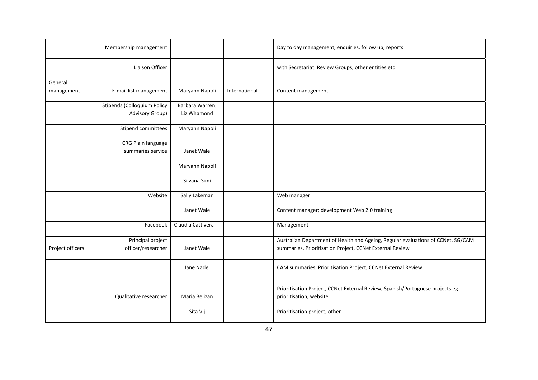|                       | Membership management                                 |                                |               | Day to day management, enquiries, follow up; reports                                                                                         |
|-----------------------|-------------------------------------------------------|--------------------------------|---------------|----------------------------------------------------------------------------------------------------------------------------------------------|
|                       | Liaison Officer                                       |                                |               | with Secretariat, Review Groups, other entities etc                                                                                          |
| General<br>management | E-mail list management                                | Maryann Napoli                 | International | Content management                                                                                                                           |
|                       | <b>Stipends (Colloquium Policy</b><br>Advisory Group) | Barbara Warren;<br>Liz Whamond |               |                                                                                                                                              |
|                       | Stipend committees                                    | Maryann Napoli                 |               |                                                                                                                                              |
|                       | CRG Plain language<br>summaries service               | Janet Wale                     |               |                                                                                                                                              |
|                       |                                                       | Maryann Napoli                 |               |                                                                                                                                              |
|                       |                                                       | Silvana Simi                   |               |                                                                                                                                              |
|                       | Website                                               | Sally Lakeman                  |               | Web manager                                                                                                                                  |
|                       |                                                       | Janet Wale                     |               | Content manager; development Web 2.0 training                                                                                                |
|                       | Facebook                                              | Claudia Cattivera              |               | Management                                                                                                                                   |
| Project officers      | Principal project<br>officer/researcher               | Janet Wale                     |               | Australian Department of Health and Ageing, Regular evaluations of CCNet, SG/CAM<br>summaries, Prioritisation Project, CCNet External Review |
|                       |                                                       | Jane Nadel                     |               | CAM summaries, Prioritisation Project, CCNet External Review                                                                                 |
|                       | Qualitative researcher                                | Maria Belizan                  |               | Prioritisation Project, CCNet External Review; Spanish/Portuguese projects eg<br>prioritisation, website                                     |
|                       |                                                       | Sita Vij                       |               | Prioritisation project; other                                                                                                                |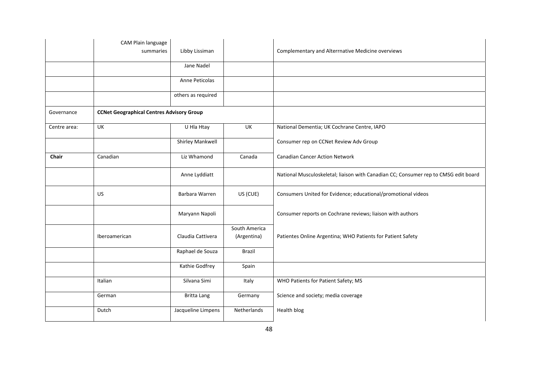|              | CAM Plain language                               |                    |                              |                                                                                     |
|--------------|--------------------------------------------------|--------------------|------------------------------|-------------------------------------------------------------------------------------|
|              | summaries                                        | Libby Lissiman     |                              | Complementary and Alterrnative Medicine overviews                                   |
|              |                                                  | Jane Nadel         |                              |                                                                                     |
|              |                                                  | Anne Peticolas     |                              |                                                                                     |
|              |                                                  | others as required |                              |                                                                                     |
| Governance   | <b>CCNet Geographical Centres Advisory Group</b> |                    |                              |                                                                                     |
| Centre area: | <b>UK</b>                                        | U Hla Htay         | UK                           | National Dementia; UK Cochrane Centre, IAPO                                         |
|              |                                                  | Shirley Mankwell   |                              | Consumer rep on CCNet Review Adv Group                                              |
| Chair        | Canadian                                         | Liz Whamond        | Canada                       | <b>Canadian Cancer Action Network</b>                                               |
|              |                                                  | Anne Lyddiatt      |                              | National Musculoskeletal; liaison with Canadian CC; Consumer rep to CMSG edit board |
|              | US                                               | Barbara Warren     | US (CUE)                     | Consumers United for Evidence; educational/promotional videos                       |
|              |                                                  | Maryann Napoli     |                              | Consumer reports on Cochrane reviews; liaison with authors                          |
|              | Iberoamerican                                    | Claudia Cattivera  | South America<br>(Argentina) | Patientes Online Argentina; WHO Patients for Patient Safety                         |
|              |                                                  | Raphael de Souza   | Brazil                       |                                                                                     |
|              |                                                  | Kathie Godfrey     | Spain                        |                                                                                     |
|              | Italian                                          | Silvana Simi       | Italy                        | WHO Patients for Patient Safety; MS                                                 |
|              | German                                           | <b>Britta Lang</b> | Germany                      | Science and society; media coverage                                                 |
|              | Dutch                                            | Jacqueline Limpens | Netherlands                  | Health blog                                                                         |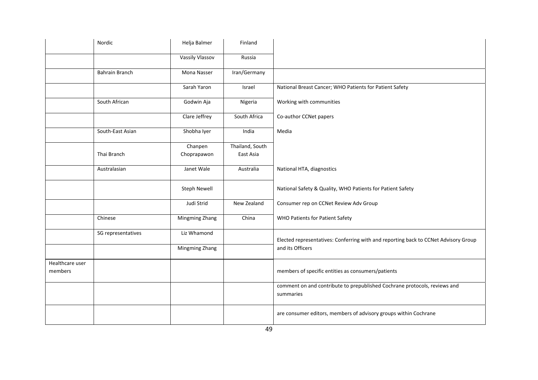|                 | Nordic                | Helja Balmer           | Finland                      |                                                                                        |
|-----------------|-----------------------|------------------------|------------------------------|----------------------------------------------------------------------------------------|
|                 |                       | <b>Vassily Vlassov</b> | Russia                       |                                                                                        |
|                 | <b>Bahrain Branch</b> | Mona Nasser            | Iran/Germany                 |                                                                                        |
|                 |                       | Sarah Yaron            | Israel                       | National Breast Cancer; WHO Patients for Patient Safety                                |
|                 | South African         | Godwin Aja             | Nigeria                      | Working with communities                                                               |
|                 |                       | Clare Jeffrey          | South Africa                 | Co-author CCNet papers                                                                 |
|                 | South-East Asian      | Shobha Iyer            | India                        | Media                                                                                  |
|                 | Thai Branch           | Chanpen<br>Choprapawon | Thailand, South<br>East Asia |                                                                                        |
|                 | Australasian          | Janet Wale             | Australia                    | National HTA, diagnostics                                                              |
|                 |                       | Steph Newell           |                              | National Safety & Quality, WHO Patients for Patient Safety                             |
|                 |                       | Judi Strid             | New Zealand                  | Consumer rep on CCNet Review Adv Group                                                 |
|                 | Chinese               | Mingming Zhang         | China                        | <b>WHO Patients for Patient Safety</b>                                                 |
|                 | SG representatives    | Liz Whamond            |                              | Elected representatives: Conferring with and reporting back to CCNet Advisory Group    |
|                 |                       | Mingming Zhang         |                              | and its Officers                                                                       |
| Healthcare user |                       |                        |                              |                                                                                        |
| members         |                       |                        |                              | members of specific entities as consumers/patients                                     |
|                 |                       |                        |                              | comment on and contribute to prepublished Cochrane protocols, reviews and<br>summaries |
|                 |                       |                        |                              | are consumer editors, members of advisory groups within Cochrane                       |